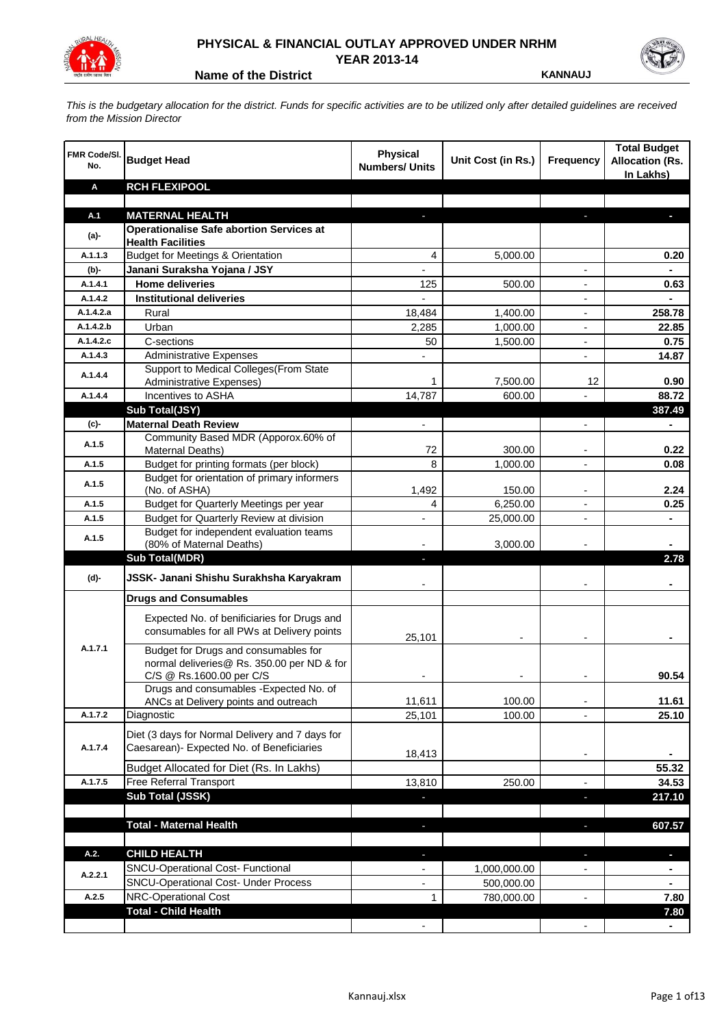

## **PHYSICAL & FINANCIAL OUTLAY APPROVED UNDER NRHM YEAR 2013-14**

**Name of the District <b>KANNAUJ** 

*This is the budgetary allocation for the district. Funds for specific activities are to be utilized only after detailed guidelines are received from the Mission Director*

| FMR Code/SI.<br>No. | <b>Budget Head</b>                                                                                             | <b>Physical</b><br><b>Numbers/ Units</b> | Unit Cost (in Rs.) | <b>Frequency</b>         | <b>Total Budget</b><br><b>Allocation (Rs.</b><br>In Lakhs) |
|---------------------|----------------------------------------------------------------------------------------------------------------|------------------------------------------|--------------------|--------------------------|------------------------------------------------------------|
| Α                   | <b>RCH FLEXIPOOL</b>                                                                                           |                                          |                    |                          |                                                            |
|                     |                                                                                                                |                                          |                    |                          |                                                            |
| A.1                 | <b>MATERNAL HEALTH</b>                                                                                         |                                          |                    |                          |                                                            |
| $(a)$ -             | <b>Operationalise Safe abortion Services at</b>                                                                |                                          |                    |                          |                                                            |
| A.1.1.3             | <b>Health Facilities</b><br><b>Budget for Meetings &amp; Orientation</b>                                       | 4                                        |                    |                          |                                                            |
| (b)-                | Janani Suraksha Yojana / JSY                                                                                   |                                          | 5,000.00           |                          | 0.20                                                       |
| A.1.4.1             | <b>Home deliveries</b>                                                                                         | 125                                      | 500.00             |                          | 0.63                                                       |
| A.1.4.2             | <b>Institutional deliveries</b>                                                                                | $\overline{a}$                           |                    |                          |                                                            |
| A.1.4.2.a           | Rural                                                                                                          | 18,484                                   | 1,400.00           |                          | 258.78                                                     |
| A.1.4.2.b           | Urban                                                                                                          | 2,285                                    | 1,000.00           |                          | 22.85                                                      |
| A.1.4.2.c           | C-sections                                                                                                     | 50                                       | 1,500.00           |                          | 0.75                                                       |
| A.1.4.3             | <b>Administrative Expenses</b>                                                                                 |                                          |                    | $\overline{a}$           | 14.87                                                      |
|                     | Support to Medical Colleges (From State                                                                        |                                          |                    |                          |                                                            |
| A.1.4.4             | Administrative Expenses)                                                                                       | 1                                        | 7,500.00           | 12                       | 0.90                                                       |
| A.1.4.4             | Incentives to ASHA                                                                                             | 14,787                                   | 600.00             |                          | 88.72                                                      |
|                     | Sub Total(JSY)                                                                                                 |                                          |                    |                          | 387.49                                                     |
| (c)-                | <b>Maternal Death Review</b>                                                                                   | $\overline{\phantom{a}}$                 |                    | $\overline{\phantom{a}}$ | $\blacksquare$                                             |
| A.1.5               | Community Based MDR (Apporox.60% of<br>Maternal Deaths)                                                        | 72                                       | 300.00             | $\blacksquare$           | 0.22                                                       |
| A.1.5               | Budget for printing formats (per block)                                                                        | 8                                        | 1,000.00           |                          | 0.08                                                       |
| A.1.5               | Budget for orientation of primary informers<br>(No. of ASHA)                                                   | 1,492                                    | 150.00             | $\overline{\phantom{a}}$ | 2.24                                                       |
| A.1.5               | Budget for Quarterly Meetings per year                                                                         | 4                                        | 6,250.00           |                          | 0.25                                                       |
| A.1.5               | Budget for Quarterly Review at division                                                                        | $\overline{\phantom{a}}$                 | 25,000.00          |                          |                                                            |
|                     | Budget for independent evaluation teams                                                                        |                                          |                    |                          |                                                            |
| A.1.5               | (80% of Maternal Deaths)                                                                                       |                                          | 3,000.00           |                          |                                                            |
|                     | <b>Sub Total(MDR)</b>                                                                                          | L.                                       |                    |                          | 2.78                                                       |
| (d)-                | JSSK- Janani Shishu Surakhsha Karyakram                                                                        |                                          |                    |                          |                                                            |
|                     | <b>Drugs and Consumables</b>                                                                                   |                                          |                    |                          |                                                            |
|                     | Expected No. of benificiaries for Drugs and<br>consumables for all PWs at Delivery points                      | 25,101                                   |                    |                          |                                                            |
| A.1.7.1             | Budget for Drugs and consumables for<br>normal deliveries@ Rs. 350.00 per ND & for<br>C/S @ Rs.1600.00 per C/S |                                          |                    |                          | 90.54                                                      |
|                     | Drugs and consumables - Expected No. of                                                                        |                                          |                    |                          |                                                            |
|                     | ANCs at Delivery points and outreach                                                                           | 11,611                                   | 100.00             |                          | 11.61                                                      |
| A.1.7.2             | Diagnostic                                                                                                     | 25,101                                   | 100.00             |                          | 25.10                                                      |
| A.1.7.4             | Diet (3 days for Normal Delivery and 7 days for<br>Caesarean)- Expected No. of Beneficiaries                   |                                          |                    |                          |                                                            |
|                     |                                                                                                                | 18,413                                   |                    | $\overline{\phantom{a}}$ |                                                            |
|                     | Budget Allocated for Diet (Rs. In Lakhs)                                                                       |                                          |                    |                          | 55.32                                                      |
| A.1.7.5             | Free Referral Transport                                                                                        | 13,810                                   | 250.00             | $\overline{a}$           | 34.53                                                      |
|                     | Sub Total (JSSK)                                                                                               |                                          |                    | F                        | 217.10                                                     |
|                     |                                                                                                                |                                          |                    |                          |                                                            |
|                     | <b>Total - Maternal Health</b>                                                                                 | J,                                       |                    | $\overline{\phantom{a}}$ | 607.57                                                     |
| A.2.                | <b>CHILD HEALTH</b>                                                                                            |                                          |                    | r.                       | ٠                                                          |
| A.2.2.1             | SNCU-Operational Cost- Functional                                                                              |                                          | 1,000,000.00       |                          |                                                            |
|                     | <b>SNCU-Operational Cost- Under Process</b>                                                                    |                                          | 500,000.00         |                          |                                                            |
| A.2.5               | NRC-Operational Cost                                                                                           | 1                                        | 780,000.00         |                          | 7.80                                                       |
|                     | <b>Total - Child Health</b>                                                                                    |                                          |                    |                          | 7.80                                                       |
|                     |                                                                                                                |                                          |                    |                          |                                                            |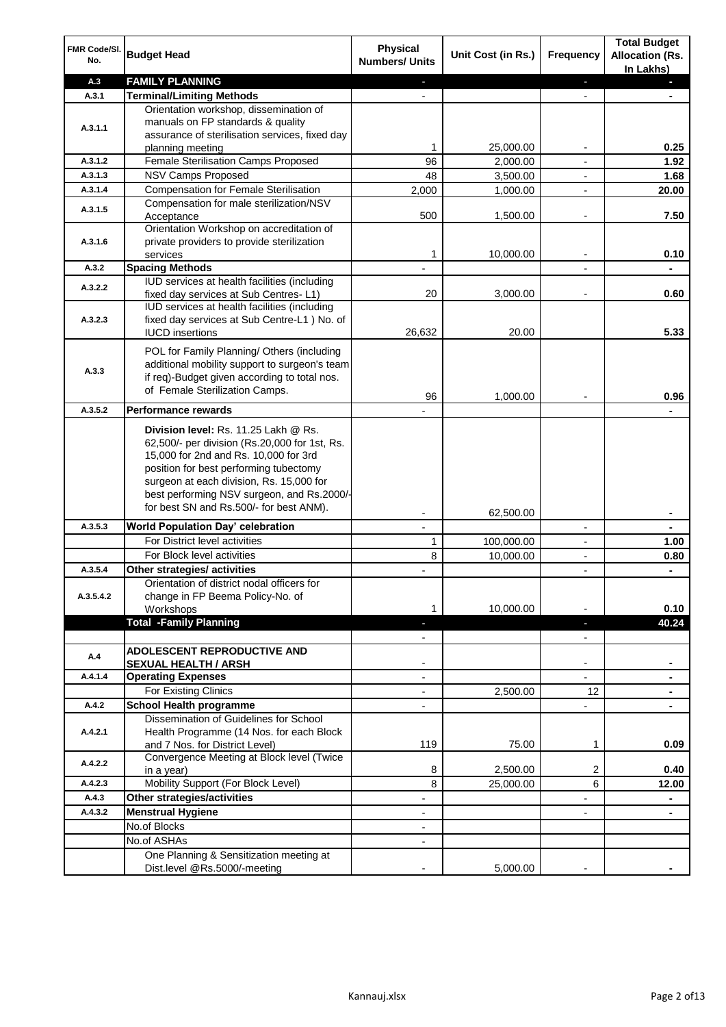| FMR Code/SI.<br>No.  | <b>Budget Head</b>                                                                                                                                                                                                                                                                                            | Physical<br><b>Numbers/ Units</b>                    | Unit Cost (in Rs.) | <b>Frequency</b>              | <b>Total Budget</b><br><b>Allocation (Rs.</b><br>In Lakhs) |
|----------------------|---------------------------------------------------------------------------------------------------------------------------------------------------------------------------------------------------------------------------------------------------------------------------------------------------------------|------------------------------------------------------|--------------------|-------------------------------|------------------------------------------------------------|
| A.3                  | <b>FAMILY PLANNING</b>                                                                                                                                                                                                                                                                                        | $\sim$                                               |                    | $\blacksquare$                | $\sim$                                                     |
| A.3.1                | <b>Terminal/Limiting Methods</b>                                                                                                                                                                                                                                                                              |                                                      |                    |                               |                                                            |
| A.3.1.1              | Orientation workshop, dissemination of<br>manuals on FP standards & quality<br>assurance of sterilisation services, fixed day<br>planning meeting                                                                                                                                                             | 1                                                    | 25,000.00          | $\overline{\phantom{a}}$      | 0.25                                                       |
| A.3.1.2              | Female Sterilisation Camps Proposed                                                                                                                                                                                                                                                                           | 96                                                   | 2,000.00           |                               | 1.92                                                       |
| A.3.1.3              | <b>NSV Camps Proposed</b>                                                                                                                                                                                                                                                                                     | 48                                                   | 3,500.00           |                               | 1.68                                                       |
| A.3.1.4              | <b>Compensation for Female Sterilisation</b>                                                                                                                                                                                                                                                                  | 2,000                                                | 1,000.00           | $\overline{\phantom{a}}$      | 20.00                                                      |
| A.3.1.5              | Compensation for male sterilization/NSV<br>Acceptance                                                                                                                                                                                                                                                         | 500                                                  | 1,500.00           |                               | 7.50                                                       |
| A.3.1.6              | Orientation Workshop on accreditation of<br>private providers to provide sterilization<br>services                                                                                                                                                                                                            | 1                                                    | 10,000.00          | $\blacksquare$                | 0.10                                                       |
| A.3.2                | <b>Spacing Methods</b>                                                                                                                                                                                                                                                                                        |                                                      |                    |                               | ä,                                                         |
| A.3.2.2              | IUD services at health facilities (including<br>fixed day services at Sub Centres-L1)                                                                                                                                                                                                                         | 20                                                   | 3,000.00           | $\overline{\phantom{a}}$      | 0.60                                                       |
| A.3.2.3              | IUD services at health facilities (including<br>fixed day services at Sub Centre-L1 ) No. of<br><b>IUCD</b> insertions                                                                                                                                                                                        | 26,632                                               | 20.00              |                               | 5.33                                                       |
| A.3.3                | POL for Family Planning/ Others (including<br>additional mobility support to surgeon's team<br>if req)-Budget given according to total nos.<br>of Female Sterilization Camps.                                                                                                                                 | 96                                                   | 1,000.00           |                               | 0.96                                                       |
| A.3.5.2              | <b>Performance rewards</b>                                                                                                                                                                                                                                                                                    |                                                      |                    |                               |                                                            |
|                      | Division level: Rs. 11.25 Lakh @ Rs.<br>62,500/- per division (Rs.20,000 for 1st, Rs.<br>15,000 for 2nd and Rs. 10,000 for 3rd<br>position for best performing tubectomy<br>surgeon at each division, Rs. 15,000 for<br>best performing NSV surgeon, and Rs.2000/-<br>for best SN and Rs.500/- for best ANM). |                                                      |                    |                               |                                                            |
|                      |                                                                                                                                                                                                                                                                                                               |                                                      | 62,500.00          |                               | ۰                                                          |
| A.3.5.3              | World Population Day' celebration                                                                                                                                                                                                                                                                             |                                                      |                    |                               |                                                            |
|                      | For District level activities                                                                                                                                                                                                                                                                                 | 1                                                    | 100,000.00         |                               | 1.00                                                       |
|                      | For Block level activities                                                                                                                                                                                                                                                                                    | 8                                                    | 10,000.00          | $\blacksquare$                | 0.80                                                       |
| A.3.5.4<br>A.3.5.4.2 | Other strategies/ activities<br>Orientation of district nodal officers for<br>change in FP Beema Policy-No. of<br>Workshops                                                                                                                                                                                   | 1                                                    | 10,000.00          |                               | 0.10                                                       |
|                      | <b>Total -Family Planning</b>                                                                                                                                                                                                                                                                                 | $\overline{\phantom{a}}$<br>$\overline{\phantom{a}}$ |                    | ٠<br>$\overline{\phantom{a}}$ | 40.24                                                      |
| A.4                  | ADOLESCENT REPRODUCTIVE AND<br><b>SEXUAL HEALTH / ARSH</b>                                                                                                                                                                                                                                                    |                                                      |                    | $\blacksquare$                |                                                            |
| A.4.1.4              | <b>Operating Expenses</b>                                                                                                                                                                                                                                                                                     |                                                      |                    |                               |                                                            |
|                      | For Existing Clinics                                                                                                                                                                                                                                                                                          | $\blacksquare$                                       | 2,500.00           | 12                            | ۰                                                          |
| A.4.2                | <b>School Health programme</b>                                                                                                                                                                                                                                                                                | $\blacksquare$                                       |                    | $\overline{a}$                |                                                            |
| A.4.2.1              | Dissemination of Guidelines for School<br>Health Programme (14 Nos. for each Block<br>and 7 Nos. for District Level)                                                                                                                                                                                          | 119                                                  | 75.00              | 1                             | 0.09                                                       |
| A.4.2.2              | Convergence Meeting at Block level (Twice<br>in a year)                                                                                                                                                                                                                                                       | 8                                                    | 2,500.00           | 2                             | 0.40                                                       |
| A.4.2.3              | Mobility Support (For Block Level)                                                                                                                                                                                                                                                                            | 8                                                    | 25,000.00          | 6                             | 12.00                                                      |
| A.4.3                | Other strategies/activities                                                                                                                                                                                                                                                                                   | $\overline{\phantom{a}}$                             |                    | -                             | ۰                                                          |
| A.4.3.2              | <b>Menstrual Hygiene</b>                                                                                                                                                                                                                                                                                      | $\overline{\phantom{a}}$                             |                    | ٠                             | $\blacksquare$                                             |
|                      | No.of Blocks                                                                                                                                                                                                                                                                                                  | $\overline{\phantom{a}}$                             |                    |                               |                                                            |
|                      | No.of ASHAs                                                                                                                                                                                                                                                                                                   | $\overline{\phantom{a}}$                             |                    |                               |                                                            |
|                      | One Planning & Sensitization meeting at<br>Dist.level @Rs.5000/-meeting                                                                                                                                                                                                                                       |                                                      | 5,000.00           |                               |                                                            |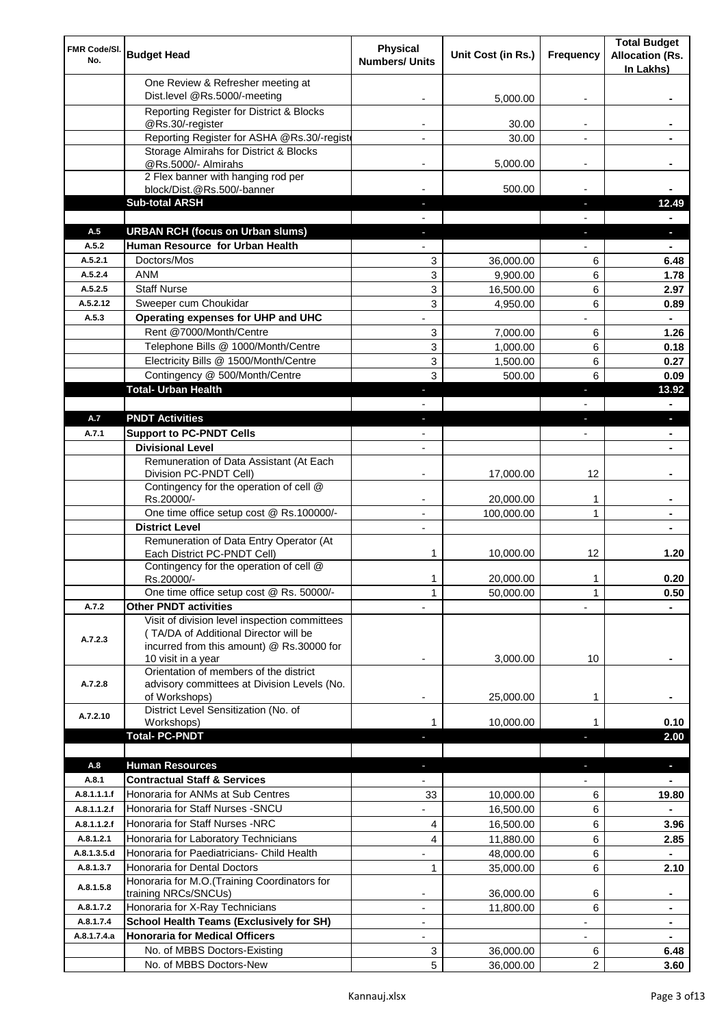| FMR Code/SI.<br>No.        | <b>Budget Head</b>                                                                                                                                        | Physical<br><b>Numbers/ Units</b> | Unit Cost (in Rs.)     | Frequency                | <b>Total Budget</b><br><b>Allocation (Rs.</b><br>In Lakhs) |
|----------------------------|-----------------------------------------------------------------------------------------------------------------------------------------------------------|-----------------------------------|------------------------|--------------------------|------------------------------------------------------------|
|                            | One Review & Refresher meeting at<br>Dist.level @Rs.5000/-meeting                                                                                         |                                   | 5,000.00               |                          |                                                            |
|                            | Reporting Register for District & Blocks                                                                                                                  |                                   |                        |                          |                                                            |
|                            | @Rs.30/-register                                                                                                                                          |                                   | 30.00                  |                          |                                                            |
|                            | Reporting Register for ASHA @Rs.30/-regist                                                                                                                |                                   | 30.00                  |                          |                                                            |
|                            | Storage Almirahs for District & Blocks<br>@Rs.5000/- Almirahs                                                                                             | $\blacksquare$                    | 5,000.00               | $\overline{\phantom{a}}$ |                                                            |
|                            | 2 Flex banner with hanging rod per                                                                                                                        |                                   |                        |                          |                                                            |
|                            | block/Dist.@Rs.500/-banner                                                                                                                                |                                   | 500.00                 |                          |                                                            |
|                            | <b>Sub-total ARSH</b>                                                                                                                                     |                                   |                        | $\sim$                   | 12.49                                                      |
| A.5                        | <b>URBAN RCH (focus on Urban slums)</b>                                                                                                                   |                                   |                        |                          |                                                            |
| A.5.2                      | Human Resource for Urban Health                                                                                                                           |                                   |                        |                          |                                                            |
| A.5.2.1                    | Doctors/Mos                                                                                                                                               | 3                                 | 36,000.00              | 6                        | 6.48                                                       |
| A.5.2.4                    | <b>ANM</b>                                                                                                                                                | 3                                 | 9,900.00               | 6                        | 1.78                                                       |
| A.5.2.5                    | <b>Staff Nurse</b>                                                                                                                                        | 3                                 | 16,500.00              | 6                        | 2.97                                                       |
| A.5.2.12<br>A.5.3          | Sweeper cum Choukidar<br>Operating expenses for UHP and UHC                                                                                               | 3                                 | 4,950.00               | 6                        | 0.89<br>$\blacksquare$                                     |
|                            | Rent @7000/Month/Centre                                                                                                                                   | 3                                 | 7,000.00               | 6                        | 1.26                                                       |
|                            | Telephone Bills @ 1000/Month/Centre                                                                                                                       | 3                                 | 1,000.00               | 6                        | 0.18                                                       |
|                            | Electricity Bills @ 1500/Month/Centre                                                                                                                     | 3                                 | 1,500.00               | 6                        | 0.27                                                       |
|                            | Contingency @ 500/Month/Centre                                                                                                                            | 3                                 | 500.00                 | 6                        | 0.09                                                       |
|                            | <b>Total- Urban Health</b>                                                                                                                                | ÷.                                |                        | ×                        | 13.92                                                      |
|                            |                                                                                                                                                           |                                   |                        |                          | $\blacksquare$                                             |
| A.7                        | <b>PNDT Activities</b>                                                                                                                                    | ٠                                 |                        | ×                        | P.                                                         |
| A.7.1                      | <b>Support to PC-PNDT Cells</b>                                                                                                                           | $\blacksquare$                    |                        | $\blacksquare$           | ٠                                                          |
|                            | <b>Divisional Level</b>                                                                                                                                   | $\blacksquare$                    |                        |                          |                                                            |
|                            | Remuneration of Data Assistant (At Each                                                                                                                   |                                   |                        |                          |                                                            |
|                            | Division PC-PNDT Cell)                                                                                                                                    |                                   | 17,000.00              | 12                       |                                                            |
|                            | Contingency for the operation of cell @<br>Rs.20000/-                                                                                                     |                                   | 20,000.00              | 1                        |                                                            |
|                            | One time office setup cost @ Rs.100000/-                                                                                                                  |                                   | 100,000.00             | 1                        |                                                            |
|                            | <b>District Level</b>                                                                                                                                     | $\overline{\phantom{a}}$          |                        |                          |                                                            |
|                            | Remuneration of Data Entry Operator (At                                                                                                                   |                                   |                        |                          |                                                            |
|                            | Each District PC-PNDT Cell)                                                                                                                               | 1                                 | 10.000.00              | 12                       | 1.20                                                       |
|                            | Contingency for the operation of cell @<br>Rs.20000/-                                                                                                     | 1                                 | 20,000.00              | 1                        | 0.20                                                       |
|                            | One time office setup cost @ Rs. 50000/-                                                                                                                  | $\mathbf{1}$                      | 50,000.00              | 1                        | 0.50                                                       |
| A.7.2                      | <b>Other PNDT activities</b>                                                                                                                              |                                   |                        |                          |                                                            |
| A.7.2.3                    | Visit of division level inspection committees<br>(TA/DA of Additional Director will be<br>incurred from this amount) @ Rs.30000 for<br>10 visit in a year |                                   | 3,000.00               | 10                       |                                                            |
| A.7.2.8                    | Orientation of members of the district<br>advisory committees at Division Levels (No.                                                                     |                                   |                        |                          |                                                            |
|                            | of Workshops)                                                                                                                                             | ۰                                 | 25,000.00              | 1                        |                                                            |
| A.7.2.10                   | District Level Sensitization (No. of<br>Workshops)                                                                                                        |                                   | 10,000.00              |                          | 0.10                                                       |
|                            | <b>Total- PC-PNDT</b>                                                                                                                                     |                                   |                        |                          | 2.00                                                       |
|                            |                                                                                                                                                           |                                   |                        |                          |                                                            |
| A.8                        | <b>Human Resources</b>                                                                                                                                    |                                   |                        |                          | ÷.                                                         |
| A.8.1                      | <b>Contractual Staff &amp; Services</b>                                                                                                                   |                                   |                        |                          |                                                            |
| A.8.1.1.1.f                | Honoraria for ANMs at Sub Centres                                                                                                                         | 33                                | 10,000.00              | 6                        | 19.80                                                      |
| A.8.1.1.2.f<br>A.8.1.1.2.f | Honoraria for Staff Nurses - SNCU<br>Honoraria for Staff Nurses -NRC                                                                                      |                                   | 16,500.00              | 6                        |                                                            |
| A.8.1.2.1                  |                                                                                                                                                           | 4<br>4                            | 16,500.00              | 6                        | 3.96                                                       |
| A.8.1.3.5.d                | Honoraria for Laboratory Technicians<br>Honoraria for Paediatricians- Child Health                                                                        |                                   | 11,880.00<br>48,000.00 | 6<br>6                   | 2.85                                                       |
| A.8.1.3.7                  | Honoraria for Dental Doctors                                                                                                                              | $\mathbf{1}$                      | 35,000.00              | 6                        | 2.10                                                       |
|                            | Honoraria for M.O.(Training Coordinators for                                                                                                              |                                   |                        |                          |                                                            |
| A.8.1.5.8                  | training NRCs/SNCUs)                                                                                                                                      |                                   | 36,000.00              | 6                        | ۰                                                          |
| A.8.1.7.2                  | Honoraria for X-Ray Technicians                                                                                                                           |                                   | 11,800.00              | 6                        |                                                            |
| A.8.1.7.4                  | <b>School Health Teams (Exclusively for SH)</b>                                                                                                           |                                   |                        |                          | ۰                                                          |
| A.8.1.7.4.a                | <b>Honoraria for Medical Officers</b>                                                                                                                     | $\blacksquare$                    |                        |                          |                                                            |
|                            | No. of MBBS Doctors-Existing                                                                                                                              | 3                                 | 36,000.00              | 6                        | 6.48                                                       |
|                            | No. of MBBS Doctors-New                                                                                                                                   | 5                                 | 36,000.00              | 2                        | 3.60                                                       |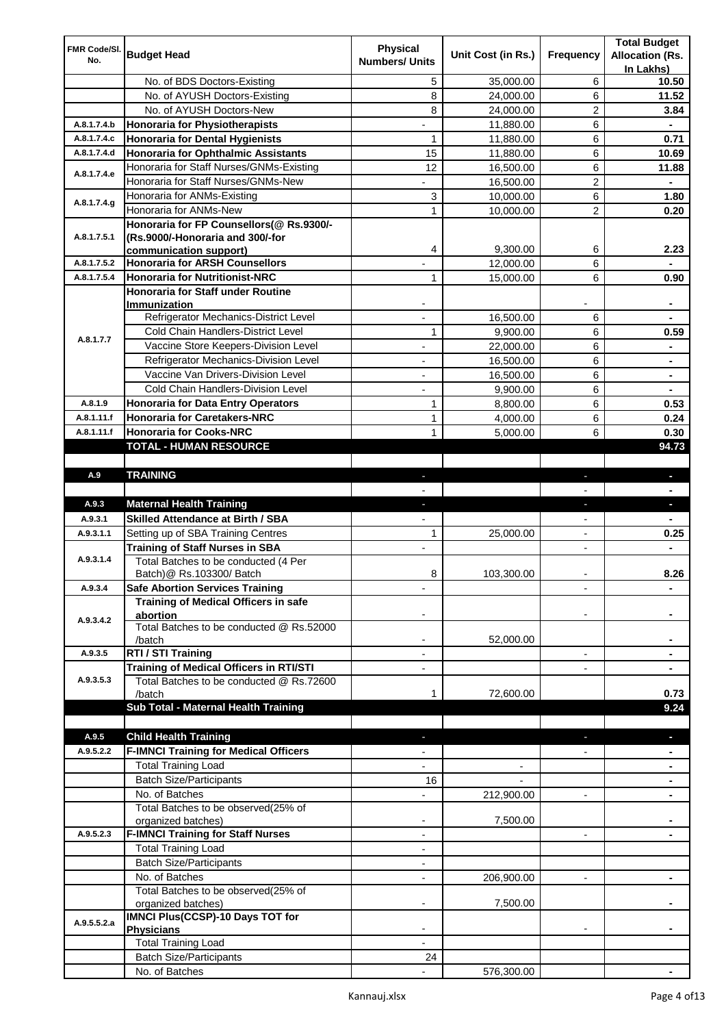| FMR Code/SI. |                                                  | <b>Physical</b>          |                    |                          | <b>Total Budget</b>    |
|--------------|--------------------------------------------------|--------------------------|--------------------|--------------------------|------------------------|
| No.          | <b>Budget Head</b>                               | <b>Numbers/ Units</b>    | Unit Cost (in Rs.) | Frequency                | <b>Allocation (Rs.</b> |
|              |                                                  |                          |                    |                          | In Lakhs)              |
|              | No. of BDS Doctors-Existing                      | 5                        | 35,000.00          | 6                        | 10.50                  |
|              | No. of AYUSH Doctors-Existing                    | 8                        | 24,000.00          | 6                        | 11.52                  |
|              | No. of AYUSH Doctors-New                         | 8                        | 24,000.00          | 2                        | 3.84                   |
| A.8.1.7.4.b  | <b>Honoraria for Physiotherapists</b>            | ۰                        | 11,880.00          | 6                        |                        |
| A.8.1.7.4.c  | <b>Honoraria for Dental Hygienists</b>           | 1                        | 11,880.00          | 6                        | 0.71                   |
| A.8.1.7.4.d  | <b>Honoraria for Ophthalmic Assistants</b>       | 15                       | 11,880.00          | 6                        | 10.69                  |
| A.8.1.7.4.e  | Honoraria for Staff Nurses/GNMs-Existing         | 12                       | 16,500.00          | 6                        | 11.88                  |
|              | Honoraria for Staff Nurses/GNMs-New              |                          | 16,500.00          | $\overline{c}$           |                        |
| A.8.1.7.4.g  | Honoraria for ANMs-Existing                      | 3                        | 10,000.00          | 6                        | 1.80                   |
|              | Honoraria for ANMs-New                           | 1                        | 10,000.00          | 2                        | 0.20                   |
|              | Honoraria for FP Counsellors(@ Rs.9300/-         |                          |                    |                          |                        |
| A.8.1.7.5.1  | (Rs.9000/-Honoraria and 300/-for                 |                          |                    |                          |                        |
|              | communication support)                           | 4                        | 9,300.00           | 6                        | 2.23                   |
| A.8.1.7.5.2  | <b>Honoraria for ARSH Counsellors</b>            |                          | 12,000.00          | 6                        |                        |
| A.8.1.7.5.4  | <b>Honoraria for Nutritionist-NRC</b>            | 1                        | 15,000.00          | 6                        | 0.90                   |
|              | <b>Honoraria for Staff under Routine</b>         |                          |                    |                          |                        |
|              | Immunization                                     |                          |                    |                          |                        |
|              | Refrigerator Mechanics-District Level            | $\blacksquare$           | 16,500.00          | 6                        |                        |
| A.8.1.7.7    | Cold Chain Handlers-District Level               | 1                        | 9,900.00           | 6                        | 0.59                   |
|              | Vaccine Store Keepers-Division Level             |                          | 22,000.00          | 6                        |                        |
|              | Refrigerator Mechanics-Division Level            | $\blacksquare$           | 16,500.00          | 6                        | ۰                      |
|              | Vaccine Van Drivers-Division Level               | ÷,                       | 16,500.00          | 6                        | ۰                      |
|              | Cold Chain Handlers-Division Level               | $\overline{\phantom{a}}$ | 9,900.00           | 6                        | ۰                      |
| A.8.1.9      | <b>Honoraria for Data Entry Operators</b>        | 1                        | 8,800.00           | 6                        | 0.53                   |
| A.8.1.11.f   | <b>Honoraria for Caretakers-NRC</b>              | $\mathbf{1}$             | 4,000.00           | 6                        | 0.24                   |
| A.8.1.11.f   | <b>Honoraria for Cooks-NRC</b>                   | $\mathbf{1}$             | 5,000.00           | 6                        | 0.30                   |
|              | TOTAL - HUMAN RESOURCE                           |                          |                    |                          | 94.73                  |
|              |                                                  |                          |                    |                          |                        |
| A.9          | <b>TRAINING</b>                                  | ٠                        |                    | ٠                        | ٠                      |
|              |                                                  |                          |                    |                          |                        |
| A.9.3        | <b>Maternal Health Training</b>                  | ٠                        |                    | ٠                        | ٠                      |
| A.9.3.1      | <b>Skilled Attendance at Birth / SBA</b>         |                          |                    |                          |                        |
| A.9.3.1.1    | Setting up of SBA Training Centres               | 1                        | 25,000.00          | $\overline{\phantom{a}}$ | 0.25                   |
|              | <b>Training of Staff Nurses in SBA</b>           | $\blacksquare$           |                    | $\overline{\phantom{0}}$ |                        |
| A.9.3.1.4    | Total Batches to be conducted (4 Per             |                          |                    |                          |                        |
|              | Batch) @ Rs.103300/ Batch                        | 8                        | 103,300.00         |                          | 8.26                   |
| A.9.3.4      | <b>Safe Abortion Services Training</b>           |                          |                    |                          |                        |
|              | Training of Medical Officers in safe             |                          |                    |                          |                        |
| A.9.3.4.2    | abortion                                         |                          |                    |                          |                        |
|              | Total Batches to be conducted @ Rs.52000         |                          |                    |                          |                        |
|              | /batch                                           |                          | 52,000.00          |                          |                        |
| A.9.3.5      | RTI / STI Training                               |                          |                    | $\overline{a}$           |                        |
|              | Training of Medical Officers in RTI/STI          |                          |                    |                          |                        |
| A.9.3.5.3    | Total Batches to be conducted @ Rs.72600         |                          |                    |                          |                        |
|              | /batch                                           | 1                        | 72,600.00          |                          | 0.73                   |
|              | Sub Total - Maternal Health Training             |                          |                    |                          | 9.24                   |
|              |                                                  |                          |                    |                          |                        |
| A.9.5        | <b>Child Health Training</b>                     |                          |                    |                          |                        |
| A.9.5.2.2    | <b>F-IMNCI Training for Medical Officers</b>     |                          |                    |                          |                        |
|              | <b>Total Training Load</b>                       |                          |                    |                          |                        |
|              | <b>Batch Size/Participants</b>                   | 16                       |                    |                          |                        |
|              | No. of Batches                                   |                          | 212,900.00         | $\overline{a}$           |                        |
|              | Total Batches to be observed(25% of              |                          |                    |                          |                        |
|              | organized batches)                               | $\overline{\phantom{a}}$ | 7,500.00           |                          |                        |
| A.9.5.2.3    | <b>F-IMNCI Training for Staff Nurses</b>         | $\overline{\phantom{a}}$ |                    | $\overline{\phantom{a}}$ | ۰                      |
|              | <b>Total Training Load</b>                       | $\overline{\phantom{a}}$ |                    |                          |                        |
|              | <b>Batch Size/Participants</b>                   |                          |                    |                          |                        |
|              | No. of Batches                                   | $\overline{\phantom{a}}$ | 206,900.00         | $\overline{\phantom{a}}$ | ۰                      |
|              | Total Batches to be observed(25% of              |                          |                    |                          |                        |
|              | organized batches)                               |                          | 7,500.00           |                          |                        |
| A.9.5.5.2.a  | IMNCI Plus(CCSP)-10 Days TOT for                 |                          |                    |                          |                        |
|              |                                                  |                          |                    |                          |                        |
|              | <b>Physicians</b>                                |                          |                    |                          |                        |
|              | <b>Total Training Load</b>                       |                          |                    |                          |                        |
|              | <b>Batch Size/Participants</b><br>No. of Batches | 24                       | 576,300.00         |                          |                        |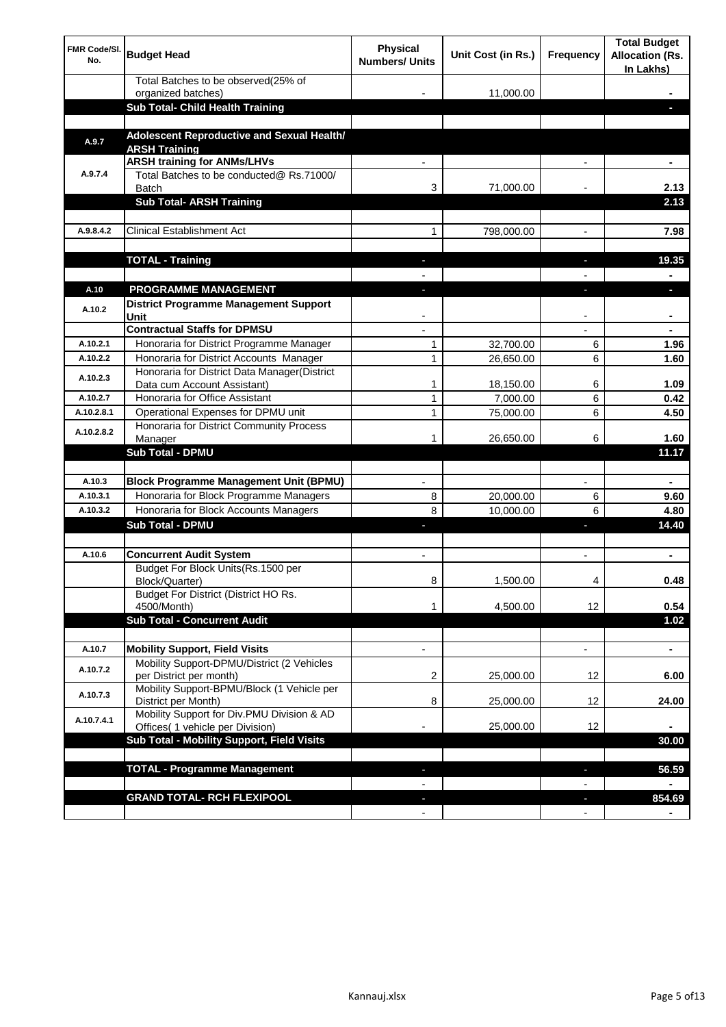| <b>FMR Code/SI.</b><br>No. | <b>Budget Head</b>                                                                  | Physical<br><b>Numbers/ Units</b> | Unit Cost (in Rs.) | Frequency                | <b>Total Budget</b><br><b>Allocation (Rs.</b><br>In Lakhs) |
|----------------------------|-------------------------------------------------------------------------------------|-----------------------------------|--------------------|--------------------------|------------------------------------------------------------|
|                            | Total Batches to be observed(25% of                                                 |                                   |                    |                          |                                                            |
|                            | organized batches)<br>Sub Total- Child Health Training                              |                                   | 11,000.00          |                          |                                                            |
|                            |                                                                                     |                                   |                    |                          |                                                            |
| A.9.7                      | Adolescent Reproductive and Sexual Health/<br><b>ARSH Training</b>                  |                                   |                    |                          |                                                            |
|                            | <b>ARSH training for ANMs/LHVs</b>                                                  |                                   |                    |                          |                                                            |
| A.9.7.4                    | Total Batches to be conducted@ Rs.71000/<br><b>Batch</b>                            | 3                                 | 71,000.00          |                          | 2.13                                                       |
|                            | <b>Sub Total- ARSH Training</b>                                                     |                                   |                    |                          | 2.13                                                       |
|                            |                                                                                     |                                   |                    |                          |                                                            |
| A.9.8.4.2                  | <b>Clinical Establishment Act</b>                                                   | 1                                 | 798,000.00         |                          | 7.98                                                       |
|                            | <b>TOTAL - Training</b>                                                             |                                   |                    |                          | 19.35                                                      |
|                            |                                                                                     |                                   |                    |                          |                                                            |
| A.10                       | <b>PROGRAMME MANAGEMENT</b>                                                         |                                   |                    |                          |                                                            |
| A.10.2                     | District Programme Management Support<br>Unit                                       |                                   |                    |                          |                                                            |
|                            | <b>Contractual Staffs for DPMSU</b>                                                 |                                   |                    |                          |                                                            |
| A.10.2.1                   | Honoraria for District Programme Manager                                            | 1                                 | 32,700.00          | 6                        | 1.96                                                       |
| A.10.2.2                   | Honoraria for District Accounts Manager                                             | 1                                 | 26,650.00          | 6                        | 1.60                                                       |
| A.10.2.3                   | Honoraria for District Data Manager(District<br>Data cum Account Assistant)         | 1                                 | 18,150.00          | 6                        | 1.09                                                       |
| A.10.2.7                   | Honoraria for Office Assistant                                                      | 1                                 | 7,000.00           | 6                        | 0.42                                                       |
| A.10.2.8.1                 | Operational Expenses for DPMU unit                                                  | 1                                 | 75,000.00          | 6                        | 4.50                                                       |
| A.10.2.8.2                 | Honoraria for District Community Process                                            |                                   |                    |                          | 1.60                                                       |
|                            | Manager<br>Sub Total - DPMU                                                         | 1                                 | 26,650.00          | 6                        | 11.17                                                      |
|                            |                                                                                     |                                   |                    |                          |                                                            |
| A.10.3                     | <b>Block Programme Management Unit (BPMU)</b>                                       | $\blacksquare$                    |                    | $\overline{\phantom{a}}$ | $\blacksquare$                                             |
| A.10.3.1                   | Honoraria for Block Programme Managers                                              | 8                                 | 20,000.00          | 6                        | 9.60                                                       |
| A.10.3.2                   | Honoraria for Block Accounts Managers                                               | 8                                 | 10,000.00          | 6                        | 4.80                                                       |
|                            | <b>Sub Total - DPMU</b>                                                             | J,                                |                    | J,                       | 14.40                                                      |
|                            |                                                                                     |                                   |                    |                          |                                                            |
| A.10.6                     | <b>Concurrent Audit System</b>                                                      | $\blacksquare$                    |                    | $\blacksquare$           | ۰                                                          |
|                            | Budget For Block Units(Rs.1500 per<br>Block/Quarter)                                | 8                                 | 1,500.00           | 4                        | 0.48                                                       |
|                            | Budget For District (District HO Rs.<br>4500/Month)                                 | 1                                 | 4,500.00           | 12                       | 0.54                                                       |
|                            | <b>Sub Total - Concurrent Audit</b>                                                 |                                   |                    |                          | 1.02                                                       |
|                            |                                                                                     |                                   |                    |                          |                                                            |
| A.10.7<br>A.10.7.2         | <b>Mobility Support, Field Visits</b><br>Mobility Support-DPMU/District (2 Vehicles | $\overline{\phantom{a}}$          |                    | $\overline{\phantom{a}}$ | ۰                                                          |
|                            | per District per month)                                                             | 2                                 | 25,000.00          | 12                       | 6.00                                                       |
| A.10.7.3                   | Mobility Support-BPMU/Block (1 Vehicle per<br>District per Month)                   | 8                                 | 25,000.00          | 12                       | 24.00                                                      |
| A.10.7.4.1                 | Mobility Support for Div.PMU Division & AD<br>Offices( 1 vehicle per Division)      |                                   | 25,000.00          | 12                       |                                                            |
|                            | Sub Total - Mobility Support, Field Visits                                          |                                   |                    |                          | 30.00                                                      |
|                            |                                                                                     |                                   |                    |                          |                                                            |
|                            | <b>TOTAL - Programme Management</b>                                                 |                                   |                    | ı                        | 56.59                                                      |
|                            | <b>GRAND TOTAL- RCH FLEXIPOOL</b>                                                   | ٠                                 |                    | $\overline{\phantom{a}}$ | 854.69                                                     |
|                            |                                                                                     | $\blacksquare$                    |                    | $\overline{\phantom{a}}$ |                                                            |
|                            |                                                                                     |                                   |                    |                          |                                                            |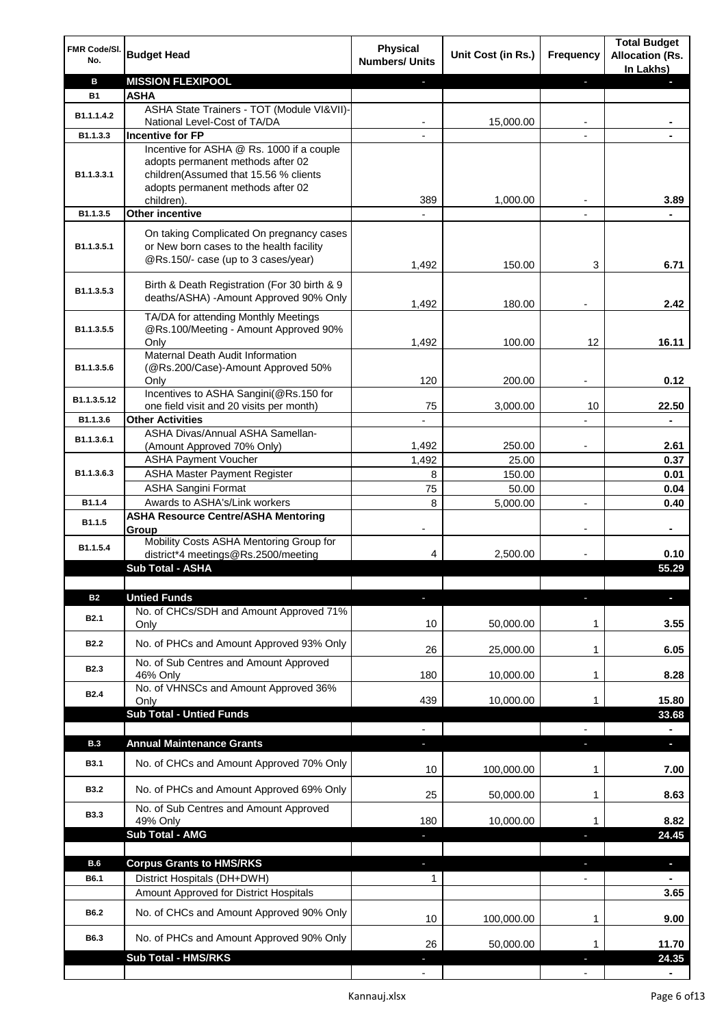| FMR Code/SI.<br>No. | <b>Budget Head</b>                                                                                                          | <b>Physical</b><br><b>Numbers/ Units</b> | Unit Cost (in Rs.) | Frequency                | <b>Total Budget</b><br><b>Allocation (Rs.</b><br>In Lakhs) |
|---------------------|-----------------------------------------------------------------------------------------------------------------------------|------------------------------------------|--------------------|--------------------------|------------------------------------------------------------|
| в                   | <b>MISSION FLEXIPOOL</b>                                                                                                    |                                          |                    | ÷.                       |                                                            |
| <b>B1</b>           | <b>ASHA</b>                                                                                                                 |                                          |                    |                          |                                                            |
| B1.1.1.4.2          | ASHA State Trainers - TOT (Module VI&VII)-                                                                                  |                                          |                    |                          |                                                            |
| B1.1.3.3            | National Level-Cost of TA/DA<br><b>Incentive for FP</b>                                                                     |                                          | 15,000.00          |                          |                                                            |
|                     | Incentive for ASHA @ Rs. 1000 if a couple                                                                                   |                                          |                    |                          |                                                            |
| B1.1.3.3.1          | adopts permanent methods after 02<br>children(Assumed that 15.56 % clients                                                  |                                          |                    |                          |                                                            |
|                     | adopts permanent methods after 02                                                                                           |                                          |                    |                          |                                                            |
|                     | children).                                                                                                                  | 389                                      | 1,000.00           |                          | 3.89                                                       |
| B1.1.3.5            | <b>Other incentive</b>                                                                                                      |                                          |                    |                          |                                                            |
| B1.1.3.5.1          | On taking Complicated On pregnancy cases<br>or New born cases to the health facility<br>@Rs.150/- case (up to 3 cases/year) | 1,492                                    | 150.00             | 3                        | 6.71                                                       |
|                     |                                                                                                                             |                                          |                    |                          |                                                            |
| B1.1.3.5.3          | Birth & Death Registration (For 30 birth & 9<br>deaths/ASHA) -Amount Approved 90% Only                                      | 1,492                                    | 180.00             |                          | 2.42                                                       |
|                     | TA/DA for attending Monthly Meetings                                                                                        |                                          |                    |                          |                                                            |
| B1.1.3.5.5          | @Rs.100/Meeting - Amount Approved 90%<br>Only                                                                               | 1,492                                    | 100.00             | 12                       | 16.11                                                      |
|                     | Maternal Death Audit Information                                                                                            |                                          |                    |                          |                                                            |
| B1.1.3.5.6          | (@Rs.200/Case)-Amount Approved 50%                                                                                          |                                          |                    |                          |                                                            |
|                     | Only                                                                                                                        | 120                                      | 200.00             |                          | 0.12                                                       |
| B1.1.3.5.12         | Incentives to ASHA Sangini(@Rs.150 for                                                                                      |                                          |                    |                          |                                                            |
|                     | one field visit and 20 visits per month)                                                                                    | 75                                       | 3,000.00           | 10                       | 22.50                                                      |
| B1.1.3.6            | <b>Other Activities</b>                                                                                                     |                                          |                    |                          |                                                            |
| B1.1.3.6.1          | ASHA Divas/Annual ASHA Samellan-<br>(Amount Approved 70% Only)                                                              | 1,492                                    | 250.00             |                          | 2.61                                                       |
|                     | <b>ASHA Payment Voucher</b>                                                                                                 | 1,492                                    | 25.00              |                          | 0.37                                                       |
| B1.1.3.6.3          | <b>ASHA Master Payment Register</b>                                                                                         | 8                                        | 150.00             |                          | 0.01                                                       |
|                     | <b>ASHA Sangini Format</b>                                                                                                  | 75                                       | 50.00              |                          | 0.04                                                       |
| B1.1.4              | Awards to ASHA's/Link workers                                                                                               | 8                                        | 5,000.00           | $\blacksquare$           | 0.40                                                       |
|                     | <b>ASHA Resource Centre/ASHA Mentoring</b>                                                                                  |                                          |                    |                          |                                                            |
| B1.1.5              | Group                                                                                                                       | $\overline{\phantom{a}}$                 |                    | $\overline{\phantom{a}}$ | $\blacksquare$                                             |
| B1.1.5.4            | Mobility Costs ASHA Mentoring Group for                                                                                     |                                          |                    |                          |                                                            |
|                     | district*4 meetings@Rs.2500/meeting                                                                                         | 4                                        | 2,500.00           |                          | 0.10                                                       |
|                     | <b>Sub Total - ASHA</b>                                                                                                     |                                          |                    |                          | 55.29                                                      |
|                     |                                                                                                                             |                                          |                    |                          |                                                            |
| <b>B2</b>           | <b>Untied Funds</b><br>No. of CHCs/SDH and Amount Approved 71%                                                              |                                          |                    |                          |                                                            |
| <b>B2.1</b>         | Only                                                                                                                        | 10                                       | 50,000.00          | 1                        | 3.55                                                       |
| <b>B2.2</b>         | No. of PHCs and Amount Approved 93% Only                                                                                    | 26                                       | 25,000.00          | 1                        | 6.05                                                       |
| <b>B2.3</b>         | No. of Sub Centres and Amount Approved                                                                                      |                                          |                    |                          |                                                            |
|                     | 46% Only<br>No. of VHNSCs and Amount Approved 36%                                                                           | 180                                      | 10,000.00          | 1                        | 8.28                                                       |
| <b>B2.4</b>         | Only                                                                                                                        | 439                                      | 10,000.00          | 1                        | 15.80                                                      |
|                     | <b>Sub Total - Untied Funds</b>                                                                                             |                                          |                    |                          | 33.68                                                      |
|                     |                                                                                                                             |                                          |                    |                          |                                                            |
| <b>B.3</b>          | <b>Annual Maintenance Grants</b>                                                                                            | ÷.                                       |                    | T                        | o.                                                         |
| <b>B3.1</b>         | No. of CHCs and Amount Approved 70% Only                                                                                    | 10                                       | 100,000.00         | 1                        | 7.00                                                       |
| <b>B3.2</b>         | No. of PHCs and Amount Approved 69% Only                                                                                    | 25                                       | 50,000.00          | 1                        | 8.63                                                       |
| <b>B3.3</b>         | No. of Sub Centres and Amount Approved<br>49% Only                                                                          | 180                                      | 10,000.00          | 1                        | 8.82                                                       |
|                     | Sub Total - AMG                                                                                                             |                                          |                    |                          | 24.45                                                      |
|                     |                                                                                                                             |                                          |                    |                          |                                                            |
| B.6                 | <b>Corpus Grants to HMS/RKS</b>                                                                                             | J,                                       |                    | ×,                       | $\overline{\phantom{a}}$                                   |
| B6.1                | District Hospitals (DH+DWH)                                                                                                 | 1                                        |                    |                          |                                                            |
|                     | Amount Approved for District Hospitals                                                                                      |                                          |                    |                          | 3.65                                                       |
|                     |                                                                                                                             |                                          |                    |                          |                                                            |
| B6.2                | No. of CHCs and Amount Approved 90% Only                                                                                    | 10                                       | 100,000.00         | 1                        | 9.00                                                       |
| B6.3                | No. of PHCs and Amount Approved 90% Only                                                                                    | 26                                       | 50,000.00          | 1                        | 11.70                                                      |
|                     | Sub Total - HMS/RKS                                                                                                         |                                          |                    |                          | 24.35                                                      |
|                     |                                                                                                                             |                                          |                    |                          |                                                            |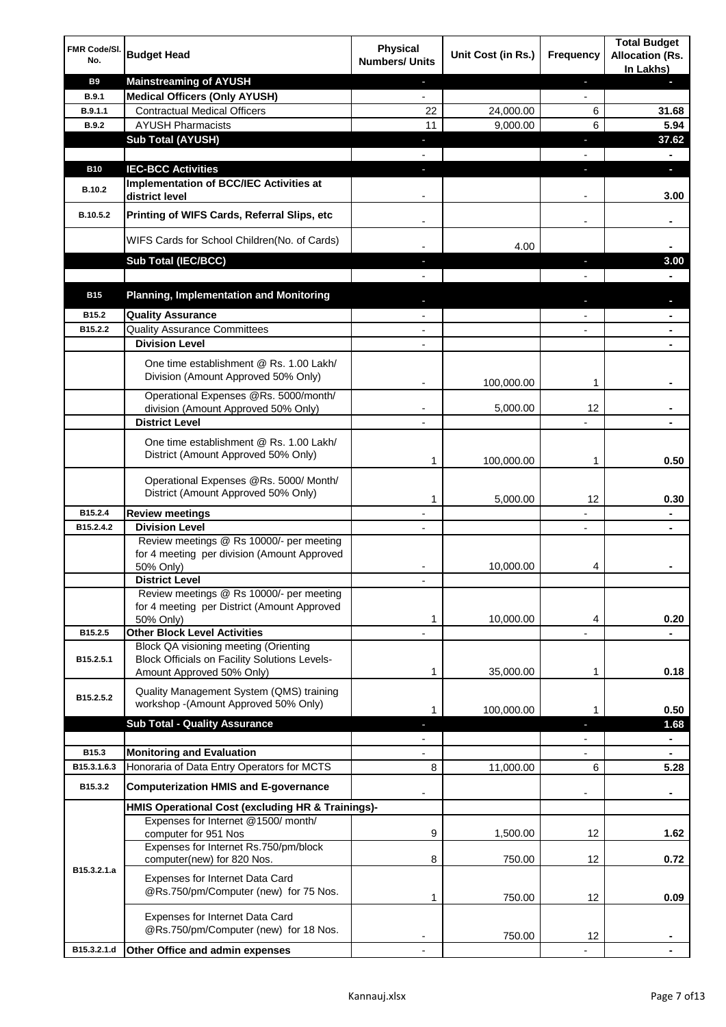| FMR Code/SI.<br>No. | <b>Budget Head</b>                                                                                                                | <b>Physical</b><br><b>Numbers/ Units</b> | Unit Cost (in Rs.) | <b>Frequency</b>         | <b>Total Budget</b><br><b>Allocation (Rs.</b><br>In Lakhs) |
|---------------------|-----------------------------------------------------------------------------------------------------------------------------------|------------------------------------------|--------------------|--------------------------|------------------------------------------------------------|
| <b>B9</b>           | <b>Mainstreaming of AYUSH</b>                                                                                                     | $\blacksquare$                           |                    | ٠                        | ٠                                                          |
| <b>B.9.1</b>        | <b>Medical Officers (Only AYUSH)</b>                                                                                              | $\blacksquare$                           |                    | $\blacksquare$           |                                                            |
| B.9.1.1             | <b>Contractual Medical Officers</b>                                                                                               | 22                                       | 24,000.00          | 6                        | 31.68                                                      |
| <b>B.9.2</b>        | <b>AYUSH Pharmacists</b>                                                                                                          | 11                                       | 9,000.00           | 6                        | 5.94                                                       |
|                     | <b>Sub Total (AYUSH)</b>                                                                                                          | ٠                                        |                    | ı                        | 37.62                                                      |
| <b>B10</b>          | <b>IEC-BCC Activities</b>                                                                                                         | r.                                       |                    | ı                        | ۰<br>÷.                                                    |
|                     | Implementation of BCC/IEC Activities at                                                                                           |                                          |                    |                          |                                                            |
| B.10.2              | district level                                                                                                                    |                                          |                    | $\overline{a}$           | 3.00                                                       |
| B.10.5.2            | Printing of WIFS Cards, Referral Slips, etc                                                                                       | $\blacksquare$                           |                    | $\overline{\phantom{a}}$ | ۰                                                          |
|                     | WIFS Cards for School Children(No. of Cards)                                                                                      |                                          | 4.00               |                          |                                                            |
|                     | Sub Total (IEC/BCC)                                                                                                               |                                          |                    |                          | 3.00                                                       |
|                     |                                                                                                                                   |                                          |                    |                          |                                                            |
| <b>B15</b>          | <b>Planning, Implementation and Monitoring</b>                                                                                    |                                          |                    |                          |                                                            |
| B15.2               | <b>Quality Assurance</b>                                                                                                          |                                          |                    |                          | ۰                                                          |
| B15.2.2             | <b>Quality Assurance Committees</b>                                                                                               | $\overline{\phantom{a}}$                 |                    |                          | ۰                                                          |
|                     | <b>Division Level</b>                                                                                                             |                                          |                    |                          |                                                            |
|                     | One time establishment @ Rs. 1.00 Lakh/<br>Division (Amount Approved 50% Only)                                                    |                                          | 100,000.00         | 1                        |                                                            |
|                     | Operational Expenses @Rs. 5000/month/                                                                                             |                                          |                    |                          |                                                            |
|                     | division (Amount Approved 50% Only)                                                                                               |                                          | 5,000.00           | 12                       |                                                            |
|                     | <b>District Level</b>                                                                                                             |                                          |                    |                          |                                                            |
|                     | One time establishment @ Rs. 1.00 Lakh/<br>District (Amount Approved 50% Only)                                                    | 1                                        | 100,000.00         | 1                        | 0.50                                                       |
|                     | Operational Expenses @Rs. 5000/ Month/<br>District (Amount Approved 50% Only)                                                     | 1                                        | 5,000.00           | 12                       | 0.30                                                       |
| B15.2.4             | <b>Review meetings</b>                                                                                                            |                                          |                    |                          | ۰                                                          |
| B15.2.4.2           | <b>Division Level</b>                                                                                                             |                                          |                    | $\overline{\phantom{a}}$ | ۰                                                          |
|                     | Review meetings @ Rs 10000/- per meeting<br>for 4 meeting per division (Amount Approved<br>50% Only)                              |                                          | 10,000.00          | 4                        |                                                            |
|                     | <b>District Level</b>                                                                                                             |                                          |                    |                          |                                                            |
|                     | Review meetings @ Rs 10000/- per meeting<br>for 4 meeting per District (Amount Approved<br>50% Only)                              | 1                                        | 10,000.00          | 4                        | 0.20                                                       |
| B15.2.5             | <b>Other Block Level Activities</b>                                                                                               |                                          |                    |                          |                                                            |
| B15.2.5.1           | <b>Block QA visioning meeting (Orienting</b><br><b>Block Officials on Facility Solutions Levels-</b><br>Amount Approved 50% Only) | 1                                        | 35,000.00          | 1                        | 0.18                                                       |
| B15.2.5.2           | Quality Management System (QMS) training<br>workshop - (Amount Approved 50% Only)                                                 |                                          |                    |                          |                                                            |
|                     |                                                                                                                                   | 1                                        | 100,000.00         | 1                        | 0.50                                                       |
|                     | <b>Sub Total - Quality Assurance</b>                                                                                              | ٠                                        |                    | J,                       | 1.68                                                       |
| B15.3               | <b>Monitoring and Evaluation</b>                                                                                                  |                                          |                    |                          | ۰<br>۰                                                     |
| B15.3.1.6.3         | Honoraria of Data Entry Operators for MCTS                                                                                        | 8                                        | 11,000.00          | 6                        | 5.28                                                       |
| B15.3.2             | <b>Computerization HMIS and E-governance</b>                                                                                      |                                          |                    |                          |                                                            |
|                     | HMIS Operational Cost (excluding HR & Trainings)-                                                                                 |                                          |                    |                          |                                                            |
|                     | Expenses for Internet @1500/month/                                                                                                |                                          |                    |                          |                                                            |
|                     | computer for 951 Nos                                                                                                              | 9                                        | 1,500.00           | 12                       | 1.62                                                       |
|                     | Expenses for Internet Rs.750/pm/block<br>computer(new) for 820 Nos.                                                               | 8                                        | 750.00             | 12                       | 0.72                                                       |
| B15.3.2.1.a         | Expenses for Internet Data Card<br>@Rs.750/pm/Computer (new) for 75 Nos.                                                          | 1                                        | 750.00             | 12                       | 0.09                                                       |
|                     | Expenses for Internet Data Card<br>@Rs.750/pm/Computer (new) for 18 Nos.                                                          |                                          | 750.00             | 12                       |                                                            |
| B15.3.2.1.d         | Other Office and admin expenses                                                                                                   |                                          |                    |                          |                                                            |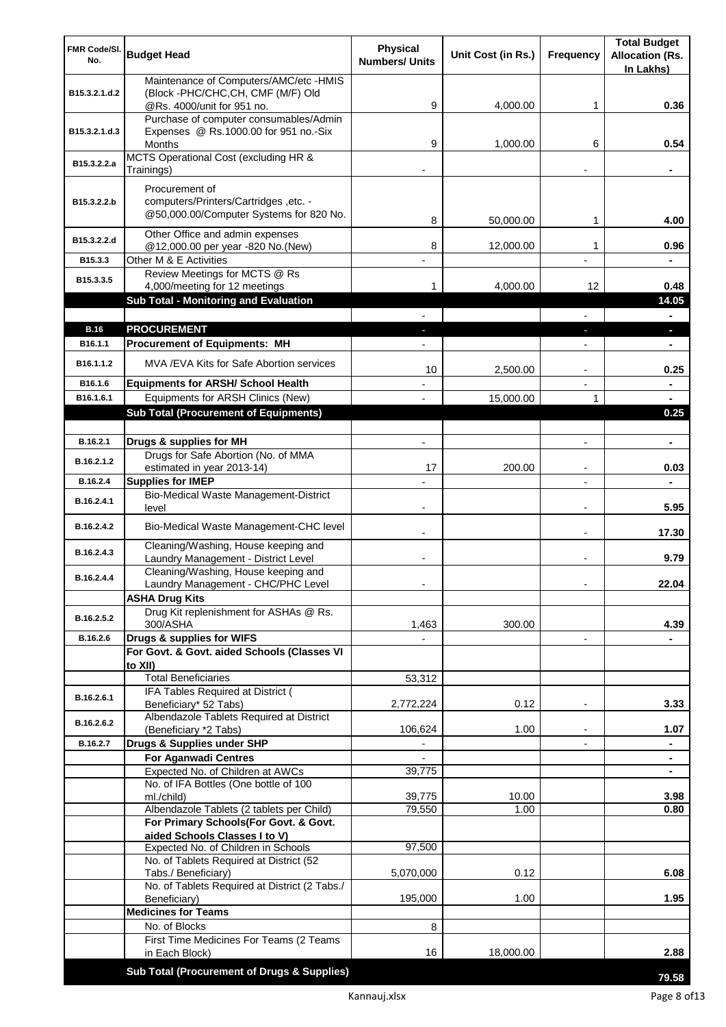| FMR Code/SI.          | <b>Budget Head</b>                                                             | <b>Physical</b>       | Unit Cost (in Rs.) | <b>Frequency</b>         | <b>Total Budget</b><br><b>Allocation (Rs.</b> |
|-----------------------|--------------------------------------------------------------------------------|-----------------------|--------------------|--------------------------|-----------------------------------------------|
| No.                   |                                                                                | <b>Numbers/ Units</b> |                    |                          | In Lakhs)                                     |
|                       | Maintenance of Computers/AMC/etc -HMIS                                         |                       |                    |                          |                                               |
| B15.3.2.1.d.2         | (Block -PHC/CHC, CH, CMF (M/F) Old<br>@Rs. 4000/unit for 951 no.               | 9                     | 4,000.00           | 1                        | 0.36                                          |
|                       | Purchase of computer consumables/Admin                                         |                       |                    |                          |                                               |
| B15.3.2.1.d.3         | Expenses @ Rs.1000.00 for 951 no.-Six                                          |                       |                    |                          |                                               |
|                       | Months<br>MCTS Operational Cost (excluding HR &                                | 9                     | 1,000.00           | 6                        | 0.54                                          |
| B15.3.2.2.a           | Trainings)                                                                     |                       |                    |                          |                                               |
|                       | Procurement of                                                                 |                       |                    |                          |                                               |
| B15.3.2.2.b           | computers/Printers/Cartridges, etc. -                                          |                       |                    |                          |                                               |
|                       | @50,000.00/Computer Systems for 820 No.                                        | 8                     | 50,000.00          | 1                        | 4.00                                          |
| B15.3.2.2.d           | Other Office and admin expenses                                                |                       |                    |                          |                                               |
| B15.3.3               | @12,000.00 per year -820 No.(New)<br>Other M & E Activities                    | 8                     | 12,000.00          | 1                        | 0.96                                          |
| B15.3.3.5             | Review Meetings for MCTS @ Rs                                                  |                       |                    |                          |                                               |
|                       | 4,000/meeting for 12 meetings                                                  | 1                     | 4,000.00           | 12                       | 0.48                                          |
|                       | Sub Total - Monitoring and Evaluation                                          |                       |                    |                          | 14.05                                         |
| <b>B.16</b>           | <b>PROCUREMENT</b>                                                             |                       |                    |                          | Ξ.<br>×.                                      |
| B <sub>16.1.1</sub>   | <b>Procurement of Equipments: MH</b>                                           |                       |                    |                          | ٠                                             |
| B <sub>16.1.1.2</sub> | MVA/EVA Kits for Safe Abortion services                                        |                       |                    |                          |                                               |
|                       |                                                                                | 10                    | 2,500.00           |                          | 0.25                                          |
| B16.1.6<br>B16.1.6.1  | <b>Equipments for ARSH/ School Health</b><br>Equipments for ARSH Clinics (New) |                       | 15,000.00          | 1                        | $\blacksquare$<br>$\blacksquare$              |
|                       | <b>Sub Total (Procurement of Equipments)</b>                                   |                       |                    |                          | 0.25                                          |
|                       |                                                                                |                       |                    |                          |                                               |
| B.16.2.1              | Drugs & supplies for MH                                                        | $\blacksquare$        |                    | $\overline{a}$           | $\blacksquare$                                |
| B.16.2.1.2            | Drugs for Safe Abortion (No. of MMA                                            | 17                    | 200.00             |                          | 0.03                                          |
| B.16.2.4              | estimated in year 2013-14)<br><b>Supplies for IMEP</b>                         |                       |                    |                          |                                               |
| B.16.2.4.1            | Bio-Medical Waste Management-District                                          |                       |                    |                          |                                               |
|                       | level                                                                          | $\overline{a}$        |                    | $\blacksquare$           | 5.95                                          |
| B.16.2.4.2            | Bio-Medical Waste Management-CHC level                                         |                       |                    | $\blacksquare$           | 17.30                                         |
| B.16.2.4.3            | Cleaning/Washing, House keeping and                                            |                       |                    |                          |                                               |
|                       | Laundry Management - District Level<br>Cleaning/Washing, House keeping and     |                       |                    | $\blacksquare$           | 9.79                                          |
| B.16.2.4.4            | Laundry Management - CHC/PHC Level                                             |                       |                    |                          | 22.04                                         |
|                       | <b>ASHA Drug Kits</b>                                                          |                       |                    |                          |                                               |
| B.16.2.5.2            | Drug Kit replenishment for ASHAs @ Rs.<br>300/ASHA                             | 1,463                 | 300.00             |                          | 4.39                                          |
| B.16.2.6              | Drugs & supplies for WIFS                                                      |                       |                    | $\overline{\phantom{a}}$ |                                               |
|                       | For Govt. & Govt. aided Schools (Classes VI                                    |                       |                    |                          |                                               |
|                       | to XII)                                                                        |                       |                    |                          |                                               |
|                       | <b>Total Beneficiaries</b><br>IFA Tables Required at District (                | 53,312                |                    |                          |                                               |
| B.16.2.6.1            | Beneficiary* 52 Tabs)                                                          | 2,772,224             | 0.12               | $\overline{a}$           | 3.33                                          |
| B.16.2.6.2            | Albendazole Tablets Required at District<br>(Beneficiary *2 Tabs)              | 106,624               | 1.00               |                          | 1.07                                          |
| B.16.2.7              | Drugs & Supplies under SHP                                                     |                       |                    |                          |                                               |
|                       | <b>For Aganwadi Centres</b>                                                    |                       |                    |                          |                                               |
|                       | Expected No. of Children at AWCs                                               | 39,775                |                    |                          | ٠                                             |
|                       | No. of IFA Bottles (One bottle of 100<br>ml./child)                            | 39,775                | 10.00              |                          | 3.98                                          |
|                       | Albendazole Tablets (2 tablets per Child)                                      | 79,550                | 1.00               |                          | 0.80                                          |
|                       | For Primary Schools(For Govt. & Govt.                                          |                       |                    |                          |                                               |
|                       | aided Schools Classes I to V)<br>Expected No. of Children in Schools           | 97,500                |                    |                          |                                               |
|                       | No. of Tablets Required at District (52                                        |                       |                    |                          |                                               |
|                       | Tabs./ Beneficiary)                                                            | 5,070,000             | 0.12               |                          | 6.08                                          |
|                       | No. of Tablets Required at District (2 Tabs./                                  | 195,000               | 1.00               |                          | 1.95                                          |
|                       | Beneficiary)<br><b>Medicines for Teams</b>                                     |                       |                    |                          |                                               |
|                       | No. of Blocks                                                                  | 8                     |                    |                          |                                               |
|                       | First Time Medicines For Teams (2 Teams                                        |                       |                    |                          |                                               |
|                       | in Each Block)                                                                 | 16                    | 18,000.00          |                          | 2.88                                          |
|                       | Sub Total (Procurement of Drugs & Supplies)                                    |                       |                    |                          | 79.58                                         |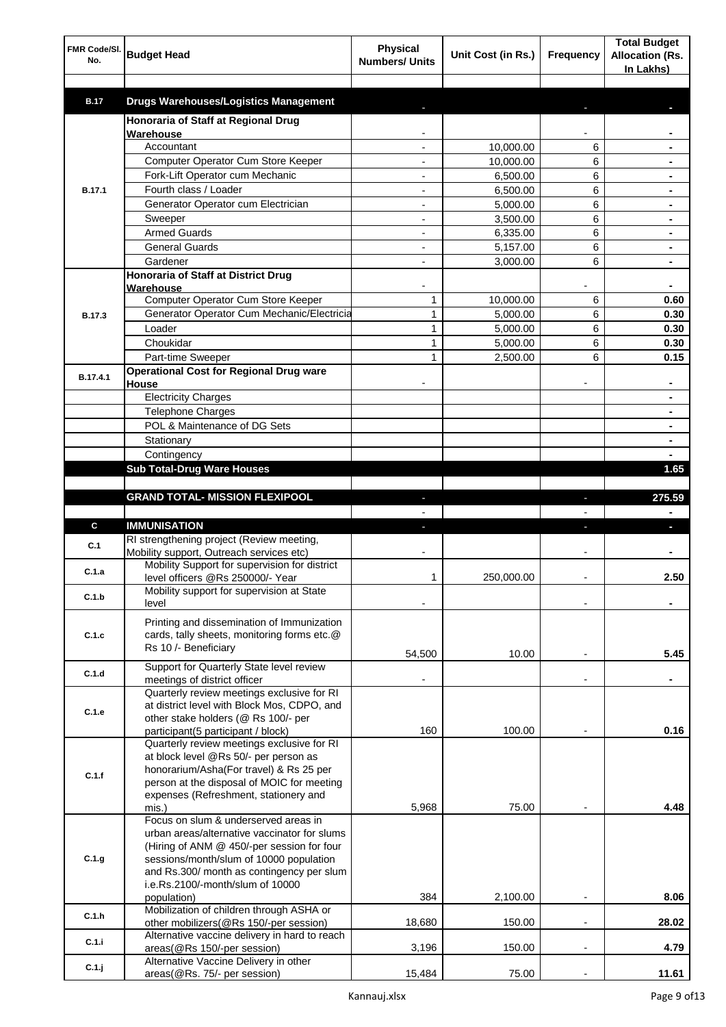| FMR Code/SI.<br>No. | <b>Budget Head</b>                                                                    | <b>Physical</b><br><b>Numbers/ Units</b> | Unit Cost (in Rs.) | Frequency                | <b>Total Budget</b><br><b>Allocation (Rs.</b><br>In Lakhs) |
|---------------------|---------------------------------------------------------------------------------------|------------------------------------------|--------------------|--------------------------|------------------------------------------------------------|
| <b>B.17</b>         | <b>Drugs Warehouses/Logistics Management</b>                                          |                                          |                    |                          |                                                            |
|                     | Honoraria of Staff at Regional Drug                                                   |                                          |                    |                          |                                                            |
|                     | Warehouse                                                                             |                                          |                    |                          |                                                            |
|                     | Accountant                                                                            |                                          | 10,000.00          | 6                        |                                                            |
|                     | Computer Operator Cum Store Keeper                                                    |                                          | 10,000.00          | 6                        |                                                            |
|                     | Fork-Lift Operator cum Mechanic                                                       |                                          | 6,500.00           | 6                        |                                                            |
| <b>B.17.1</b>       | Fourth class / Loader                                                                 |                                          | 6,500.00           | 6                        |                                                            |
|                     | Generator Operator cum Electrician                                                    |                                          | 5,000.00           | 6                        |                                                            |
|                     | Sweeper                                                                               |                                          | 3,500.00           | 6                        |                                                            |
|                     | <b>Armed Guards</b>                                                                   |                                          | 6,335.00           | 6                        |                                                            |
|                     | <b>General Guards</b>                                                                 |                                          | 5,157.00           | 6                        |                                                            |
|                     | Gardener                                                                              |                                          | 3,000.00           | 6                        |                                                            |
|                     | Honoraria of Staff at District Drug<br>Warehouse                                      |                                          |                    |                          |                                                            |
|                     | Computer Operator Cum Store Keeper                                                    | 1                                        | 10,000.00          | 6                        | 0.60                                                       |
| <b>B.17.3</b>       | Generator Operator Cum Mechanic/Electricia                                            | $\mathbf{1}$                             | 5,000.00           | 6                        | 0.30                                                       |
|                     | Loader                                                                                | 1                                        | 5,000.00           | 6                        | 0.30                                                       |
|                     | Choukidar                                                                             | 1                                        | 5,000.00           | 6                        | 0.30                                                       |
|                     | Part-time Sweeper                                                                     | 1                                        | 2,500.00           | 6                        | 0.15                                                       |
| B.17.4.1            | <b>Operational Cost for Regional Drug ware</b>                                        |                                          |                    |                          |                                                            |
|                     | House                                                                                 |                                          |                    |                          | ۰                                                          |
|                     | <b>Electricity Charges</b>                                                            |                                          |                    |                          | ۰                                                          |
|                     | <b>Telephone Charges</b>                                                              |                                          |                    |                          | ۰                                                          |
|                     | POL & Maintenance of DG Sets                                                          |                                          |                    |                          | ۰                                                          |
|                     | Stationary                                                                            |                                          |                    |                          | ٠                                                          |
|                     | Contingency                                                                           |                                          |                    |                          |                                                            |
|                     | <b>Sub Total-Drug Ware Houses</b>                                                     |                                          |                    |                          | 1.65                                                       |
|                     | <b>GRAND TOTAL- MISSION FLEXIPOOL</b>                                                 |                                          |                    | ı                        | 275.59                                                     |
|                     |                                                                                       |                                          |                    |                          |                                                            |
| C                   | <b>IMMUNISATION</b>                                                                   |                                          |                    |                          |                                                            |
|                     | RI strengthening project (Review meeting,                                             |                                          |                    |                          |                                                            |
| C.1                 | Mobility support, Outreach services etc)                                              |                                          |                    |                          |                                                            |
| C.1.a               | Mobility Support for supervision for district                                         |                                          |                    |                          |                                                            |
|                     | level officers @Rs 250000/- Year                                                      | 1                                        | 250,000.00         |                          | 2.50                                                       |
| C.1.b               | Mobility support for supervision at State<br>level                                    |                                          |                    |                          |                                                            |
|                     |                                                                                       |                                          |                    |                          |                                                            |
|                     | Printing and dissemination of Immunization                                            |                                          |                    |                          |                                                            |
| C.1.c               | cards, tally sheets, monitoring forms etc.@<br>Rs 10 /- Beneficiary                   |                                          |                    |                          |                                                            |
|                     |                                                                                       | 54,500                                   | 10.00              |                          | 5.45                                                       |
| C.1.d               | Support for Quarterly State level review                                              |                                          |                    |                          |                                                            |
|                     | meetings of district officer<br>Quarterly review meetings exclusive for RI            |                                          |                    | $\blacksquare$           |                                                            |
|                     | at district level with Block Mos, CDPO, and                                           |                                          |                    |                          |                                                            |
| C.1.e               | other stake holders (@ Rs 100/- per                                                   |                                          |                    |                          |                                                            |
|                     | participant(5 participant / block)                                                    | 160                                      | 100.00             |                          | 0.16                                                       |
|                     | Quarterly review meetings exclusive for RI                                            |                                          |                    |                          |                                                            |
|                     | at block level @Rs 50/- per person as                                                 |                                          |                    |                          |                                                            |
| C.1.f               | honorarium/Asha(For travel) & Rs 25 per<br>person at the disposal of MOIC for meeting |                                          |                    |                          |                                                            |
|                     | expenses (Refreshment, stationery and                                                 |                                          |                    |                          |                                                            |
|                     | mis.)                                                                                 | 5,968                                    | 75.00              |                          | 4.48                                                       |
|                     | Focus on slum & underserved areas in                                                  |                                          |                    |                          |                                                            |
|                     | urban areas/alternative vaccinator for slums                                          |                                          |                    |                          |                                                            |
|                     | (Hiring of ANM @ 450/-per session for four                                            |                                          |                    |                          |                                                            |
| C.1.g               | sessions/month/slum of 10000 population<br>and Rs.300/ month as contingency per slum  |                                          |                    |                          |                                                            |
|                     | i.e.Rs.2100/-month/slum of 10000                                                      |                                          |                    |                          |                                                            |
|                     | population)                                                                           | 384                                      | 2,100.00           |                          | 8.06                                                       |
| C.1.h               | Mobilization of children through ASHA or                                              |                                          |                    |                          |                                                            |
|                     | other mobilizers(@Rs 150/-per session)                                                | 18,680                                   | 150.00             | $\overline{a}$           | 28.02                                                      |
| C.1.i               | Alternative vaccine delivery in hard to reach                                         |                                          |                    | $\overline{\phantom{a}}$ |                                                            |
|                     | areas(@Rs 150/-per session)<br>Alternative Vaccine Delivery in other                  | 3,196                                    | 150.00             |                          | 4.79                                                       |
| C.1.j               | areas(@Rs. 75/- per session)                                                          | 15,484                                   | 75.00              | $\overline{a}$           | 11.61                                                      |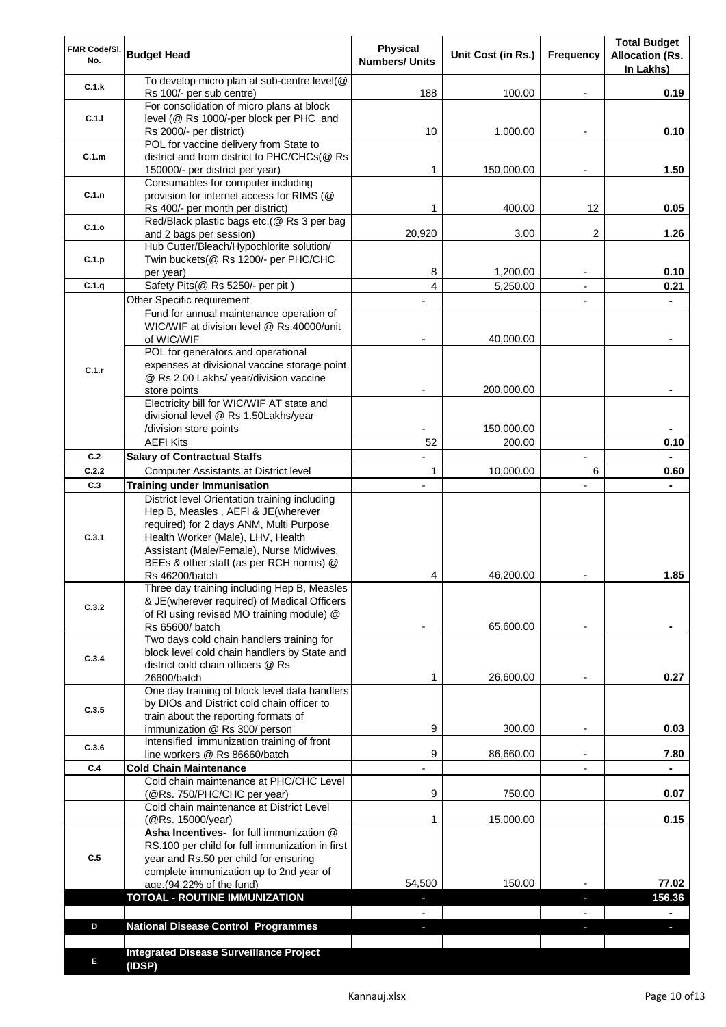| FMR Code/SI.<br>No. | <b>Budget Head</b>                                                                                                                                                                                              | Physical<br><b>Numbers/ Units</b> | Unit Cost (in Rs.)   | Frequency                | <b>Total Budget</b><br><b>Allocation (Rs.</b><br>In Lakhs) |
|---------------------|-----------------------------------------------------------------------------------------------------------------------------------------------------------------------------------------------------------------|-----------------------------------|----------------------|--------------------------|------------------------------------------------------------|
| C.1.k               | To develop micro plan at sub-centre level(@<br>Rs 100/- per sub centre)                                                                                                                                         | 188                               | 100.00               |                          | 0.19                                                       |
| C.1.1               | For consolidation of micro plans at block<br>level (@ Rs 1000/-per block per PHC and                                                                                                                            |                                   |                      |                          |                                                            |
|                     | Rs 2000/- per district)<br>POL for vaccine delivery from State to                                                                                                                                               | 10                                | 1,000.00             |                          | 0.10                                                       |
| C.1.m               | district and from district to PHC/CHCs(@ Rs<br>150000/- per district per year)                                                                                                                                  | 1                                 | 150,000.00           |                          | 1.50                                                       |
|                     | Consumables for computer including                                                                                                                                                                              |                                   |                      |                          |                                                            |
| C.1.n               | provision for internet access for RIMS (@<br>Rs 400/- per month per district)                                                                                                                                   | 1                                 | 400.00               | 12                       | 0.05                                                       |
| C.1.o               | Red/Black plastic bags etc.(@ Rs 3 per bag                                                                                                                                                                      |                                   |                      |                          |                                                            |
|                     | and 2 bags per session)<br>Hub Cutter/Bleach/Hypochlorite solution/                                                                                                                                             | 20,920                            | 3.00                 | 2                        | 1.26                                                       |
| C.1.p               | Twin buckets(@ Rs 1200/- per PHC/CHC                                                                                                                                                                            |                                   |                      |                          |                                                            |
|                     | per year)                                                                                                                                                                                                       | 8                                 | 1,200.00             |                          | 0.10                                                       |
| C.1.q               | Safety Pits(@ Rs 5250/- per pit)                                                                                                                                                                                | 4                                 | 5,250.00             |                          | 0.21                                                       |
|                     | Other Specific requirement<br>Fund for annual maintenance operation of                                                                                                                                          |                                   |                      | $\blacksquare$           |                                                            |
|                     | WIC/WIF at division level @ Rs.40000/unit                                                                                                                                                                       |                                   |                      |                          |                                                            |
|                     | of WIC/WIF                                                                                                                                                                                                      |                                   | 40,000.00            |                          |                                                            |
|                     | POL for generators and operational                                                                                                                                                                              |                                   |                      |                          |                                                            |
| C.1.r               | expenses at divisional vaccine storage point<br>@ Rs 2.00 Lakhs/ year/division vaccine                                                                                                                          |                                   |                      |                          |                                                            |
|                     | store points                                                                                                                                                                                                    |                                   | 200,000.00           |                          |                                                            |
|                     | Electricity bill for WIC/WIF AT state and                                                                                                                                                                       |                                   |                      |                          |                                                            |
|                     | divisional level @ Rs 1.50Lakhs/year                                                                                                                                                                            |                                   |                      |                          |                                                            |
|                     | /division store points<br><b>AEFI Kits</b>                                                                                                                                                                      | 52                                | 150,000.00<br>200.00 |                          | 0.10                                                       |
| C.2                 | <b>Salary of Contractual Staffs</b>                                                                                                                                                                             |                                   |                      | $\overline{\phantom{a}}$ |                                                            |
| C.2.2               | Computer Assistants at District level                                                                                                                                                                           | $\mathbf{1}$                      | 10,000.00            | 6                        | 0.60                                                       |
| C.3                 | <b>Training under Immunisation</b>                                                                                                                                                                              | $\overline{a}$                    |                      |                          |                                                            |
| C.3.1               | District level Orientation training including<br>Hep B, Measles, AEFI & JE(wherever<br>required) for 2 days ANM, Multi Purpose<br>Health Worker (Male), LHV, Health<br>Assistant (Male/Female), Nurse Midwives, |                                   |                      |                          |                                                            |
|                     | BEEs & other staff (as per RCH norms) @                                                                                                                                                                         | 4                                 |                      |                          | 1.85                                                       |
|                     | Rs 46200/batch<br>Three day training including Hep B, Measles                                                                                                                                                   |                                   | 46,200.00            |                          |                                                            |
| C.3.2               | & JE(wherever required) of Medical Officers<br>of RI using revised MO training module) @                                                                                                                        |                                   |                      |                          |                                                            |
|                     | Rs 65600/ batch                                                                                                                                                                                                 |                                   | 65,600.00            |                          |                                                            |
| C.3.4               | Two days cold chain handlers training for<br>block level cold chain handlers by State and<br>district cold chain officers @ Rs                                                                                  |                                   |                      |                          |                                                            |
|                     | 26600/batch<br>One day training of block level data handlers                                                                                                                                                    | 1                                 | 26,600.00            |                          | 0.27                                                       |
| C.3.5               | by DIOs and District cold chain officer to                                                                                                                                                                      |                                   |                      |                          |                                                            |
|                     | train about the reporting formats of                                                                                                                                                                            |                                   |                      |                          |                                                            |
|                     | immunization @ Rs 300/ person<br>Intensified immunization training of front                                                                                                                                     | 9                                 | 300.00               | $\overline{\phantom{a}}$ | 0.03                                                       |
| C.3.6               | line workers @ Rs 86660/batch                                                                                                                                                                                   | 9                                 | 86,660.00            | $\blacksquare$           | 7.80                                                       |
| C.4                 | <b>Cold Chain Maintenance</b>                                                                                                                                                                                   |                                   |                      |                          |                                                            |
|                     | Cold chain maintenance at PHC/CHC Level<br>(@Rs. 750/PHC/CHC per year)                                                                                                                                          | 9                                 | 750.00               |                          | 0.07                                                       |
|                     | Cold chain maintenance at District Level<br>(@Rs. 15000/year)                                                                                                                                                   | 1                                 | 15,000.00            |                          | 0.15                                                       |
| C.5                 | Asha Incentives- for full immunization @<br>RS.100 per child for full immunization in first<br>year and Rs.50 per child for ensuring<br>complete immunization up to 2nd year of                                 |                                   |                      |                          |                                                            |
|                     | age.(94.22% of the fund)                                                                                                                                                                                        | 54,500                            | 150.00               |                          | 77.02                                                      |
|                     | <b>TOTOAL - ROUTINE IMMUNIZATION</b>                                                                                                                                                                            |                                   |                      |                          | 156.36                                                     |
| D                   |                                                                                                                                                                                                                 |                                   |                      |                          |                                                            |
|                     | <b>National Disease Control Programmes</b>                                                                                                                                                                      |                                   |                      |                          |                                                            |
| Е                   | <b>Integrated Disease Surveillance Project</b><br>(IDSP)                                                                                                                                                        |                                   |                      |                          |                                                            |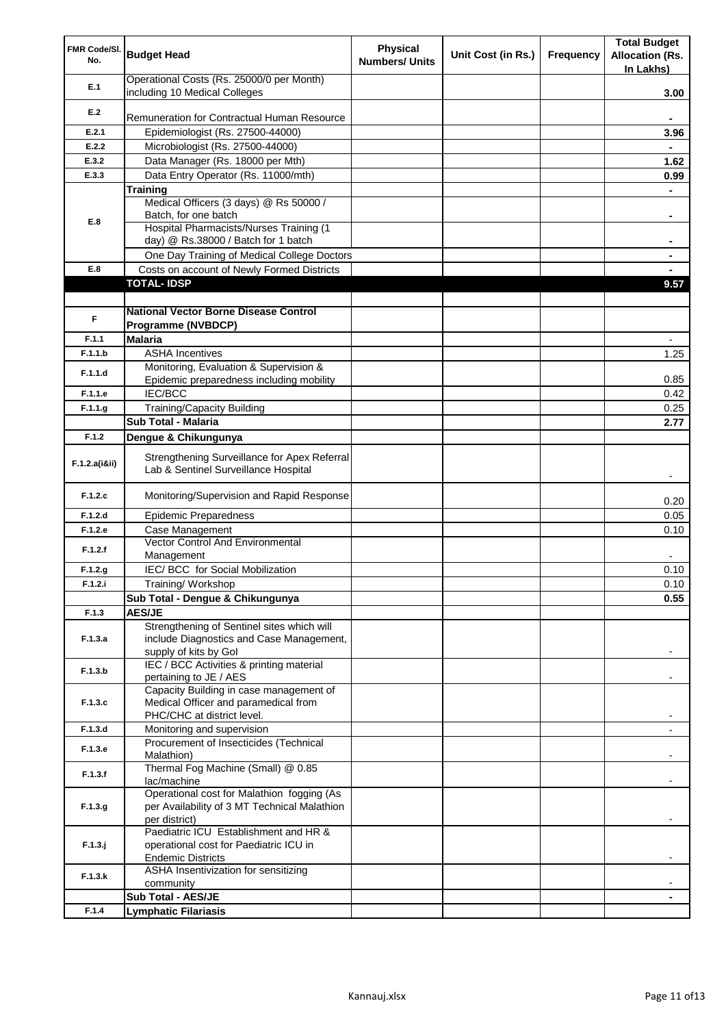| FMR Code/SI.<br>No. | <b>Budget Head</b>                                                                   | <b>Physical</b><br><b>Numbers/ Units</b> | Unit Cost (in Rs.) | Frequency | <b>Total Budget</b><br><b>Allocation (Rs.</b><br>In Lakhs) |
|---------------------|--------------------------------------------------------------------------------------|------------------------------------------|--------------------|-----------|------------------------------------------------------------|
| E.1                 | Operational Costs (Rs. 25000/0 per Month)<br>including 10 Medical Colleges           |                                          |                    |           | 3.00                                                       |
| E.2                 |                                                                                      |                                          |                    |           |                                                            |
|                     | Remuneration for Contractual Human Resource                                          |                                          |                    |           |                                                            |
| E.2.1               | Epidemiologist (Rs. 27500-44000)                                                     |                                          |                    |           | 3.96                                                       |
| E.2.2               | Microbiologist (Rs. 27500-44000)                                                     |                                          |                    |           |                                                            |
| E.3.2               | Data Manager (Rs. 18000 per Mth)                                                     |                                          |                    |           | 1.62                                                       |
| E.3.3               | Data Entry Operator (Rs. 11000/mth)                                                  |                                          |                    |           | 0.99                                                       |
|                     | <b>Training</b>                                                                      |                                          |                    |           |                                                            |
|                     | Medical Officers (3 days) @ Rs 50000 /                                               |                                          |                    |           |                                                            |
| E.8                 | Batch, for one batch<br>Hospital Pharmacists/Nurses Training (1                      |                                          |                    |           | ۰                                                          |
|                     | day) @ Rs.38000 / Batch for 1 batch                                                  |                                          |                    |           |                                                            |
|                     | One Day Training of Medical College Doctors                                          |                                          |                    |           |                                                            |
| E.8                 | Costs on account of Newly Formed Districts                                           |                                          |                    |           |                                                            |
|                     | <b>TOTAL-IDSP</b>                                                                    |                                          |                    |           | 9.57                                                       |
|                     |                                                                                      |                                          |                    |           |                                                            |
|                     | <b>National Vector Borne Disease Control</b>                                         |                                          |                    |           |                                                            |
| F                   | Programme (NVBDCP)                                                                   |                                          |                    |           |                                                            |
| F.1.1               | <b>Malaria</b>                                                                       |                                          |                    |           | $\overline{\phantom{0}}$                                   |
| F.1.1.b             | <b>ASHA Incentives</b>                                                               |                                          |                    |           | 1.25                                                       |
|                     | Monitoring, Evaluation & Supervision &                                               |                                          |                    |           |                                                            |
| F.1.1.d             | Epidemic preparedness including mobility                                             |                                          |                    |           | 0.85                                                       |
| F.1.1.e             | IEC/BCC                                                                              |                                          |                    |           | 0.42                                                       |
| F.1.1.g             | <b>Training/Capacity Building</b>                                                    |                                          |                    |           | 0.25                                                       |
|                     | Sub Total - Malaria                                                                  |                                          |                    |           | 2.77                                                       |
| F.1.2               | Dengue & Chikungunya                                                                 |                                          |                    |           |                                                            |
|                     |                                                                                      |                                          |                    |           |                                                            |
| F.1.2.a(iⅈ)         | Strengthening Surveillance for Apex Referral<br>Lab & Sentinel Surveillance Hospital |                                          |                    |           |                                                            |
| F.1.2.c             | Monitoring/Supervision and Rapid Response                                            |                                          |                    |           | 0.20                                                       |
| F.1.2.d             | <b>Epidemic Preparedness</b>                                                         |                                          |                    |           | 0.05                                                       |
| F.1.2.e             | Case Management                                                                      |                                          |                    |           | 0.10                                                       |
| F.1.2.f             | Vector Control And Environmental<br>Management                                       |                                          |                    |           |                                                            |
| F.1.2.g             | IEC/ BCC for Social Mobilization                                                     |                                          |                    |           | 0.10                                                       |
| F.1.2.i             | Training/ Workshop                                                                   |                                          |                    |           | 0.10                                                       |
|                     | Sub Total - Dengue & Chikungunya                                                     |                                          |                    |           | 0.55                                                       |
| F.1.3               | <b>AES/JE</b>                                                                        |                                          |                    |           |                                                            |
|                     | Strengthening of Sentinel sites which will                                           |                                          |                    |           |                                                            |
| F.1.3.a             | include Diagnostics and Case Management,                                             |                                          |                    |           |                                                            |
|                     | supply of kits by Gol                                                                |                                          |                    |           |                                                            |
| F.1.3.b             | IEC / BCC Activities & printing material                                             |                                          |                    |           |                                                            |
|                     | pertaining to JE / AES<br>Capacity Building in case management of                    |                                          |                    |           |                                                            |
| F.1.3.c             | Medical Officer and paramedical from                                                 |                                          |                    |           |                                                            |
|                     | PHC/CHC at district level.                                                           |                                          |                    |           |                                                            |
| F.1.3.d             | Monitoring and supervision                                                           |                                          |                    |           |                                                            |
|                     | Procurement of Insecticides (Technical                                               |                                          |                    |           |                                                            |
| F.1.3.e             | Malathion)                                                                           |                                          |                    |           |                                                            |
| F.1.3.f             | Thermal Fog Machine (Small) @ 0.85                                                   |                                          |                    |           |                                                            |
|                     | lac/machine                                                                          |                                          |                    |           |                                                            |
|                     | Operational cost for Malathion fogging (As                                           |                                          |                    |           |                                                            |
| F.1.3.g             | per Availability of 3 MT Technical Malathion<br>per district)                        |                                          |                    |           |                                                            |
|                     | Paediatric ICU Establishment and HR &                                                |                                          |                    |           |                                                            |
| $F.1.3.$ j          | operational cost for Paediatric ICU in                                               |                                          |                    |           |                                                            |
|                     | <b>Endemic Districts</b>                                                             |                                          |                    |           |                                                            |
|                     | ASHA Insentivization for sensitizing                                                 |                                          |                    |           |                                                            |
| F.1.3.k             | community                                                                            |                                          |                    |           |                                                            |
|                     | Sub Total - AES/JE                                                                   |                                          |                    |           |                                                            |
| F.1.4               | <b>Lymphatic Filariasis</b>                                                          |                                          |                    |           |                                                            |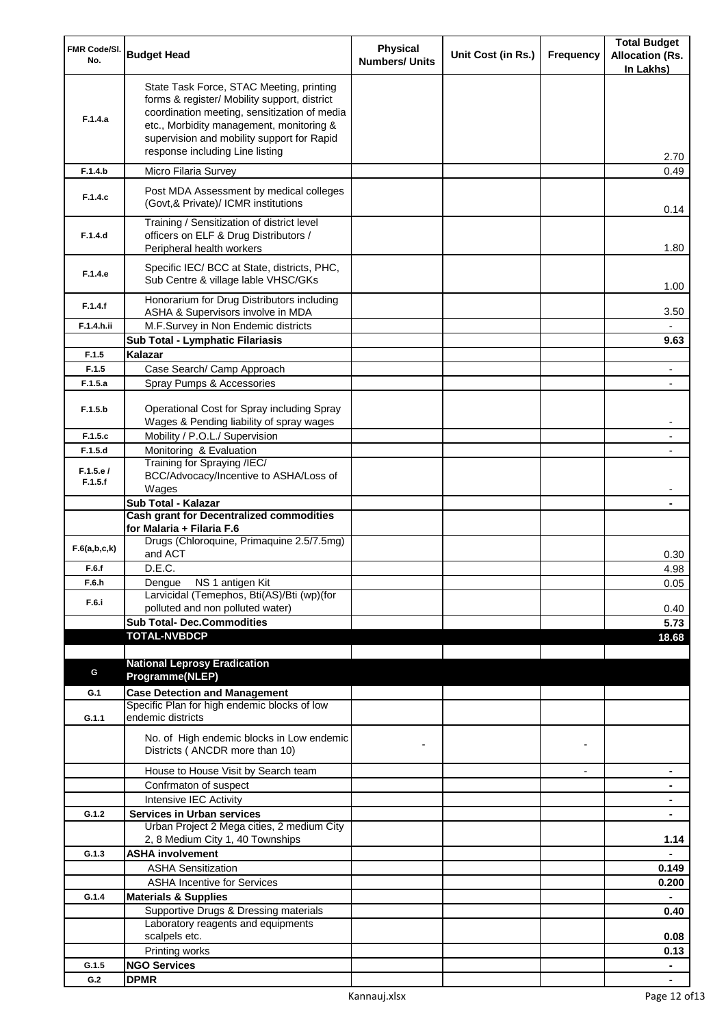| FMR Code/SI.<br>No. | <b>Budget Head</b>                                                                                                                                                                                                                                                    | <b>Physical</b><br><b>Numbers/ Units</b> | Unit Cost (in Rs.) | Frequency      | <b>Total Budget</b><br><b>Allocation (Rs.</b><br>In Lakhs) |
|---------------------|-----------------------------------------------------------------------------------------------------------------------------------------------------------------------------------------------------------------------------------------------------------------------|------------------------------------------|--------------------|----------------|------------------------------------------------------------|
| F.1.4.a             | State Task Force, STAC Meeting, printing<br>forms & register/ Mobility support, district<br>coordination meeting, sensitization of media<br>etc., Morbidity management, monitoring &<br>supervision and mobility support for Rapid<br>response including Line listing |                                          |                    |                | 2.70                                                       |
| F.1.4.b             | Micro Filaria Survey                                                                                                                                                                                                                                                  |                                          |                    |                | 0.49                                                       |
| F.1.4.c             | Post MDA Assessment by medical colleges<br>(Govt, & Private)/ ICMR institutions                                                                                                                                                                                       |                                          |                    |                | 0.14                                                       |
| F.1.4.d             | Training / Sensitization of district level<br>officers on ELF & Drug Distributors /<br>Peripheral health workers                                                                                                                                                      |                                          |                    |                | 1.80                                                       |
| F.1.4.e             | Specific IEC/ BCC at State, districts, PHC,<br>Sub Centre & village lable VHSC/GKs                                                                                                                                                                                    |                                          |                    |                | 1.00                                                       |
| F.1.4.f             | Honorarium for Drug Distributors including<br>ASHA & Supervisors involve in MDA                                                                                                                                                                                       |                                          |                    |                | 3.50                                                       |
| F.1.4.h.ii          | M.F.Survey in Non Endemic districts                                                                                                                                                                                                                                   |                                          |                    |                |                                                            |
|                     | Sub Total - Lymphatic Filariasis                                                                                                                                                                                                                                      |                                          |                    |                | 9.63                                                       |
| F.1.5<br>F.1.5      | Kalazar<br>Case Search/ Camp Approach                                                                                                                                                                                                                                 |                                          |                    |                |                                                            |
| F.1.5.a             | Spray Pumps & Accessories                                                                                                                                                                                                                                             |                                          |                    |                |                                                            |
| F.1.5.b             | Operational Cost for Spray including Spray<br>Wages & Pending liability of spray wages                                                                                                                                                                                |                                          |                    |                |                                                            |
| F.1.5.c             | Mobility / P.O.L./ Supervision                                                                                                                                                                                                                                        |                                          |                    |                |                                                            |
| F.1.5.d             | Monitoring & Evaluation                                                                                                                                                                                                                                               |                                          |                    |                |                                                            |
| F.1.5.e/<br>F.1.5.f | Training for Spraying /IEC/<br>BCC/Advocacy/Incentive to ASHA/Loss of<br>Wages                                                                                                                                                                                        |                                          |                    |                |                                                            |
|                     | Sub Total - Kalazar                                                                                                                                                                                                                                                   |                                          |                    |                |                                                            |
|                     | <b>Cash grant for Decentralized commodities</b>                                                                                                                                                                                                                       |                                          |                    |                |                                                            |
|                     | for Malaria + Filaria F.6                                                                                                                                                                                                                                             |                                          |                    |                |                                                            |
| F.6(a,b,c,k)        | Drugs (Chloroquine, Primaquine 2.5/7.5mg)<br>and ACT                                                                                                                                                                                                                  |                                          |                    |                | 0.30                                                       |
| F.6.f<br>F.6.h      | D.E.C.<br>Dengue NS 1 antigen Kit                                                                                                                                                                                                                                     |                                          |                    |                | 4.98<br>0.05                                               |
|                     | Larvicidal (Temephos, Bti(AS)/Bti (wp)(for                                                                                                                                                                                                                            |                                          |                    |                |                                                            |
| F.6.i               | polluted and non polluted water)                                                                                                                                                                                                                                      |                                          |                    |                | 0.40                                                       |
|                     | <b>Sub Total- Dec.Commodities</b>                                                                                                                                                                                                                                     |                                          |                    |                | 5.73                                                       |
|                     | <b>TOTAL-NVBDCP</b>                                                                                                                                                                                                                                                   |                                          |                    |                | 18.68                                                      |
|                     | <b>National Leprosy Eradication</b>                                                                                                                                                                                                                                   |                                          |                    |                |                                                            |
| G                   | Programme(NLEP)                                                                                                                                                                                                                                                       |                                          |                    |                |                                                            |
| G.1                 | <b>Case Detection and Management</b>                                                                                                                                                                                                                                  |                                          |                    |                |                                                            |
|                     | Specific Plan for high endemic blocks of low<br>endemic districts                                                                                                                                                                                                     |                                          |                    |                |                                                            |
| G.1.1               |                                                                                                                                                                                                                                                                       |                                          |                    |                |                                                            |
|                     | No. of High endemic blocks in Low endemic<br>Districts (ANCDR more than 10)                                                                                                                                                                                           |                                          |                    |                |                                                            |
|                     | House to House Visit by Search team                                                                                                                                                                                                                                   |                                          |                    | $\blacksquare$ | ۰                                                          |
|                     | Confrmaton of suspect                                                                                                                                                                                                                                                 |                                          |                    |                | ۰                                                          |
| G.1.2               | Intensive IEC Activity<br><b>Services in Urban services</b>                                                                                                                                                                                                           |                                          |                    |                | ۰<br>$\blacksquare$                                        |
|                     | Urban Project 2 Mega cities, 2 medium City<br>2, 8 Medium City 1, 40 Townships                                                                                                                                                                                        |                                          |                    |                | 1.14                                                       |
| G.1.3               | <b>ASHA involvement</b>                                                                                                                                                                                                                                               |                                          |                    |                |                                                            |
|                     | <b>ASHA Sensitization</b>                                                                                                                                                                                                                                             |                                          |                    |                | 0.149                                                      |
|                     | <b>ASHA Incentive for Services</b>                                                                                                                                                                                                                                    |                                          |                    |                | 0.200                                                      |
| G.1.4               | <b>Materials &amp; Supplies</b>                                                                                                                                                                                                                                       |                                          |                    |                |                                                            |
|                     | Supportive Drugs & Dressing materials<br>Laboratory reagents and equipments                                                                                                                                                                                           |                                          |                    |                | 0.40                                                       |
|                     | scalpels etc.                                                                                                                                                                                                                                                         |                                          |                    |                | 0.08                                                       |
|                     | Printing works                                                                                                                                                                                                                                                        |                                          |                    |                | 0.13                                                       |
| G.1.5               | <b>NGO Services</b>                                                                                                                                                                                                                                                   |                                          |                    |                | $\blacksquare$                                             |
| G.2                 | <b>DPMR</b>                                                                                                                                                                                                                                                           |                                          |                    |                | $\blacksquare$                                             |